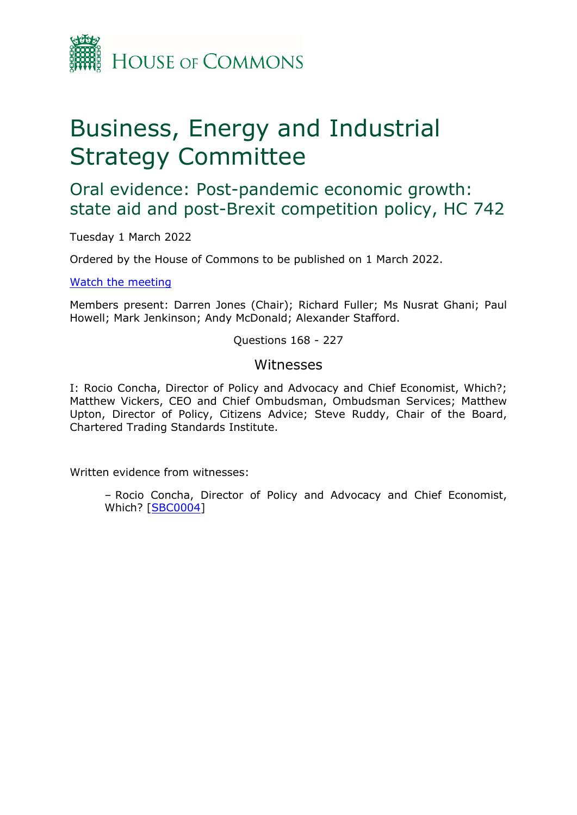

# Business, Energy and Industrial Strategy Committee

Oral evidence: Post-pandemic economic growth: state aid and post-Brexit competition policy, HC 742

Tuesday 1 March 2022

Ordered by the House of Commons to be published on 1 March 2022.

[Watch](https://www.parliamentlive.tv/Event/Index/54510e6e-b497-4ac4-b8b7-21658eb0c811) [the](https://www.parliamentlive.tv/Event/Index/54510e6e-b497-4ac4-b8b7-21658eb0c811) [meeting](https://www.parliamentlive.tv/Event/Index/54510e6e-b497-4ac4-b8b7-21658eb0c811)

Members present: Darren Jones (Chair); Richard Fuller; Ms Nusrat Ghani; Paul Howell; Mark Jenkinson; Andy McDonald; Alexander Stafford.

Questions 168 - 227

## Witnesses

I: Rocio Concha, Director of Policy and Advocacy and Chief Economist, Which?; Matthew Vickers, CEO and Chief Ombudsman, Ombudsman Services; Matthew Upton, Director of Policy, Citizens Advice; Steve Ruddy, Chair of the Board, Chartered Trading Standards Institute.

Written evidence from witnesses:

– Rocio Concha, Director of Policy and Advocacy and Chief Economist, Which? [\[SBC0004](https://committees.parliament.uk/writtenevidence/40557/pdf/)]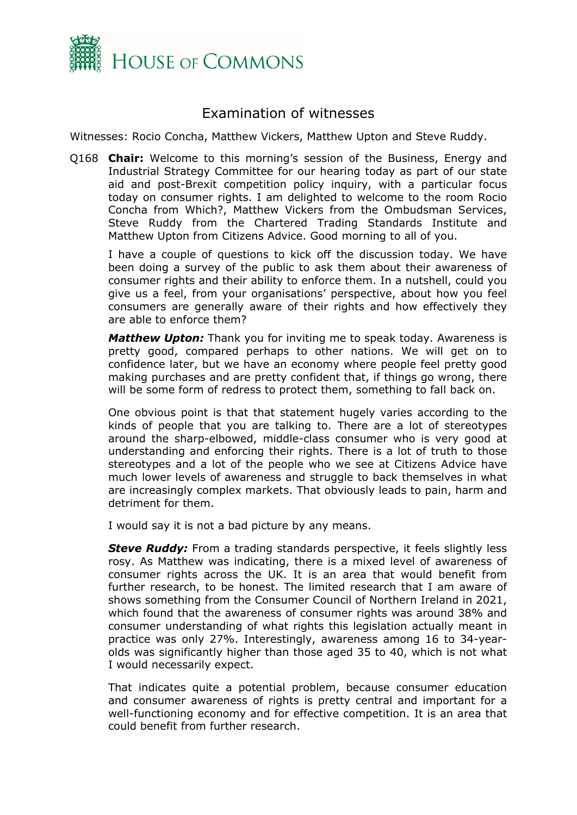

# Examination of witnesses

Witnesses: Rocio Concha, Matthew Vickers, Matthew Upton and Steve Ruddy.

Q168 **Chair:** Welcome to this morning's session of the Business, Energy and Industrial Strategy Committee for our hearing today as part of our state aid and post-Brexit competition policy inquiry, with a particular focus today on consumer rights. I am delighted to welcome to the room Rocio Concha from Which?, Matthew Vickers from the Ombudsman Services, Steve Ruddy from the Chartered Trading Standards Institute and Matthew Upton from Citizens Advice. Good morning to all of you.

I have a couple of questions to kick off the discussion today. We have been doing a survey of the public to ask them about their awareness of consumer rights and their ability to enforce them. In a nutshell, could you give us a feel, from your organisations' perspective, about how you feel consumers are generally aware of their rights and how effectively they are able to enforce them?

*Matthew Upton:* Thank you for inviting me to speak today. Awareness is pretty good, compared perhaps to other nations. We will get on to confidence later, but we have an economy where people feel pretty good making purchases and are pretty confident that, if things go wrong, there will be some form of redress to protect them, something to fall back on.

One obvious point is that that statement hugely varies according to the kinds of people that you are talking to. There are a lot of stereotypes around the sharp-elbowed, middle-class consumer who is very good at understanding and enforcing their rights. There is a lot of truth to those stereotypes and a lot of the people who we see at Citizens Advice have much lower levels of awareness and struggle to back themselves in what are increasingly complex markets. That obviously leads to pain, harm and detriment for them.

I would say it is not a bad picture by any means.

*Steve Ruddy:* From a trading standards perspective, it feels slightly less rosy. As Matthew was indicating, there is a mixed level of awareness of consumer rights across the UK. It is an area that would benefit from further research, to be honest. The limited research that I am aware of shows something from the Consumer Council of Northern Ireland in 2021, which found that the awareness of consumer rights was around 38% and consumer understanding of what rights this legislation actually meant in practice was only 27%. Interestingly, awareness among 16 to 34-yearolds was significantly higher than those aged 35 to 40, which is not what I would necessarily expect.

That indicates quite a potential problem, because consumer education and consumer awareness of rights is pretty central and important for a well-functioning economy and for effective competition. It is an area that could benefit from further research.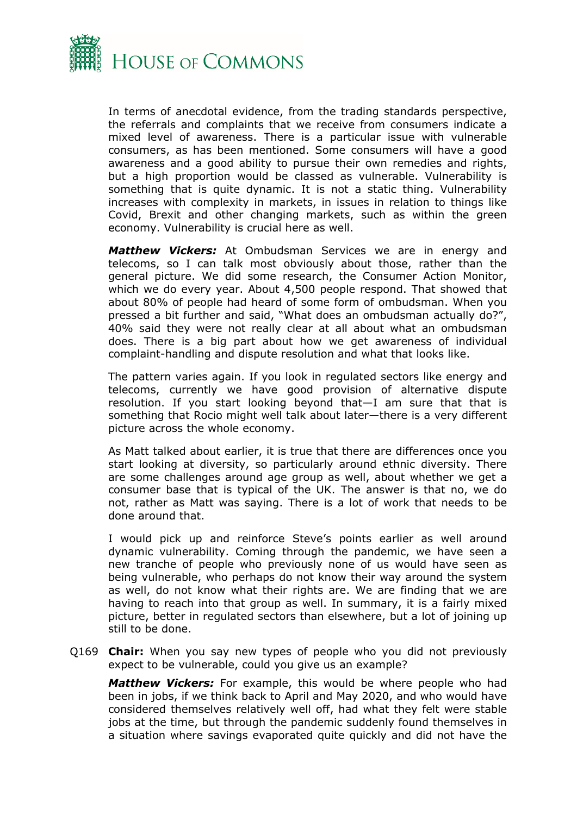

In terms of anecdotal evidence, from the trading standards perspective, the referrals and complaints that we receive from consumers indicate a mixed level of awareness. There is a particular issue with vulnerable consumers, as has been mentioned. Some consumers will have a good awareness and a good ability to pursue their own remedies and rights, but a high proportion would be classed as vulnerable. Vulnerability is something that is quite dynamic. It is not a static thing. Vulnerability increases with complexity in markets, in issues in relation to things like Covid, Brexit and other changing markets, such as within the green economy. Vulnerability is crucial here as well.

*Matthew Vickers:* At Ombudsman Services we are in energy and telecoms, so I can talk most obviously about those, rather than the general picture. We did some research, the Consumer Action Monitor, which we do every year. About 4,500 people respond. That showed that about 80% of people had heard of some form of ombudsman. When you pressed a bit further and said, "What does an ombudsman actually do?", 40% said they were not really clear at all about what an ombudsman does. There is a big part about how we get awareness of individual complaint-handling and dispute resolution and what that looks like.

The pattern varies again. If you look in regulated sectors like energy and telecoms, currently we have good provision of alternative dispute resolution. If you start looking beyond that—I am sure that that is something that Rocio might well talk about later—there is a very different picture across the whole economy.

As Matt talked about earlier, it is true that there are differences once you start looking at diversity, so particularly around ethnic diversity. There are some challenges around age group as well, about whether we get a consumer base that is typical of the UK. The answer is that no, we do not, rather as Matt was saying. There is a lot of work that needs to be done around that.

I would pick up and reinforce Steve's points earlier as well around dynamic vulnerability. Coming through the pandemic, we have seen a new tranche of people who previously none of us would have seen as being vulnerable, who perhaps do not know their way around the system as well, do not know what their rights are. We are finding that we are having to reach into that group as well. In summary, it is a fairly mixed picture, better in regulated sectors than elsewhere, but a lot of joining up still to be done.

Q169 **Chair:** When you say new types of people who you did not previously expect to be vulnerable, could you give us an example?

*Matthew Vickers:* For example, this would be where people who had been in jobs, if we think back to April and May 2020, and who would have considered themselves relatively well off, had what they felt were stable jobs at the time, but through the pandemic suddenly found themselves in a situation where savings evaporated quite quickly and did not have the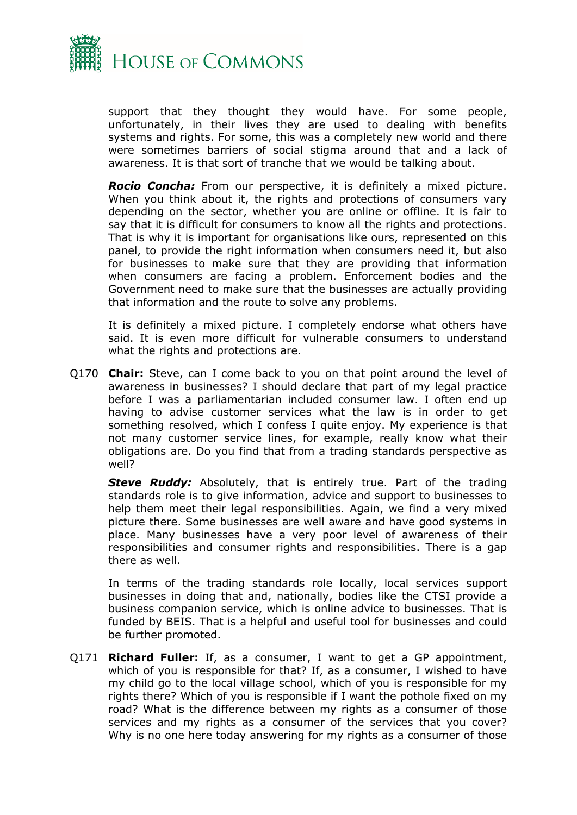

support that they thought they would have. For some people, unfortunately, in their lives they are used to dealing with benefits systems and rights. For some, this was a completely new world and there were sometimes barriers of social stigma around that and a lack of awareness. It is that sort of tranche that we would be talking about.

*Rocio Concha:* From our perspective, it is definitely a mixed picture. When you think about it, the rights and protections of consumers vary depending on the sector, whether you are online or offline. It is fair to say that it is difficult for consumers to know all the rights and protections. That is why it is important for organisations like ours, represented on this panel, to provide the right information when consumers need it, but also for businesses to make sure that they are providing that information when consumers are facing a problem. Enforcement bodies and the Government need to make sure that the businesses are actually providing that information and the route to solve any problems.

It is definitely a mixed picture. I completely endorse what others have said. It is even more difficult for vulnerable consumers to understand what the rights and protections are.

Q170 **Chair:** Steve, can I come back to you on that point around the level of awareness in businesses? I should declare that part of my legal practice before I was a parliamentarian included consumer law. I often end up having to advise customer services what the law is in order to get something resolved, which I confess I quite enjoy. My experience is that not many customer service lines, for example, really know what their obligations are. Do you find that from a trading standards perspective as well?

*Steve Ruddy:* Absolutely, that is entirely true. Part of the trading standards role is to give information, advice and support to businesses to help them meet their legal responsibilities. Again, we find a very mixed picture there. Some businesses are well aware and have good systems in place. Many businesses have a very poor level of awareness of their responsibilities and consumer rights and responsibilities. There is a gap there as well.

In terms of the trading standards role locally, local services support businesses in doing that and, nationally, bodies like the CTSI provide a business companion service, which is online advice to businesses. That is funded by BEIS. That is a helpful and useful tool for businesses and could be further promoted.

Q171 **Richard Fuller:** If, as a consumer, I want to get a GP appointment, which of you is responsible for that? If, as a consumer, I wished to have my child go to the local village school, which of you is responsible for my rights there? Which of you is responsible if I want the pothole fixed on my road? What is the difference between my rights as a consumer of those services and my rights as a consumer of the services that you cover? Why is no one here today answering for my rights as a consumer of those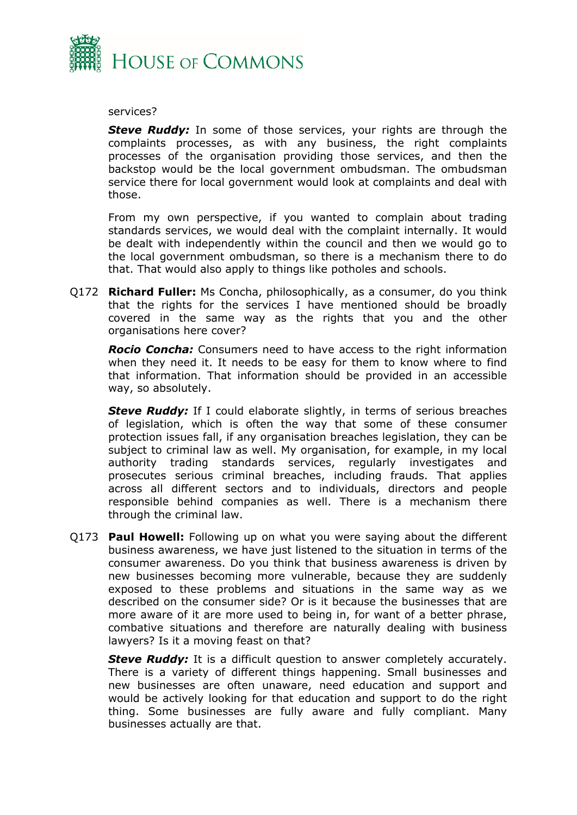

#### services?

*Steve Ruddy:* In some of those services, your rights are through the complaints processes, as with any business, the right complaints processes of the organisation providing those services, and then the backstop would be the local government ombudsman. The ombudsman service there for local government would look at complaints and deal with those.

From my own perspective, if you wanted to complain about trading standards services, we would deal with the complaint internally. It would be dealt with independently within the council and then we would go to the local government ombudsman, so there is a mechanism there to do that. That would also apply to things like potholes and schools.

Q172 **Richard Fuller:** Ms Concha, philosophically, as a consumer, do you think that the rights for the services I have mentioned should be broadly covered in the same way as the rights that you and the other organisations here cover?

*Rocio Concha:* Consumers need to have access to the right information when they need it. It needs to be easy for them to know where to find that information. That information should be provided in an accessible way, so absolutely.

**Steve Ruddy:** If I could elaborate slightly, in terms of serious breaches of legislation, which is often the way that some of these consumer protection issues fall, if any organisation breaches legislation, they can be subject to criminal law as well. My organisation, for example, in my local authority trading standards services, regularly investigates and prosecutes serious criminal breaches, including frauds. That applies across all different sectors and to individuals, directors and people responsible behind companies as well. There is a mechanism there through the criminal law.

Q173 **Paul Howell:** Following up on what you were saying about the different business awareness, we have just listened to the situation in terms of the consumer awareness. Do you think that business awareness is driven by new businesses becoming more vulnerable, because they are suddenly exposed to these problems and situations in the same way as we described on the consumer side? Or is it because the businesses that are more aware of it are more used to being in, for want of a better phrase, combative situations and therefore are naturally dealing with business lawyers? Is it a moving feast on that?

**Steve Ruddy:** It is a difficult question to answer completely accurately. There is a variety of different things happening. Small businesses and new businesses are often unaware, need education and support and would be actively looking for that education and support to do the right thing. Some businesses are fully aware and fully compliant. Many businesses actually are that.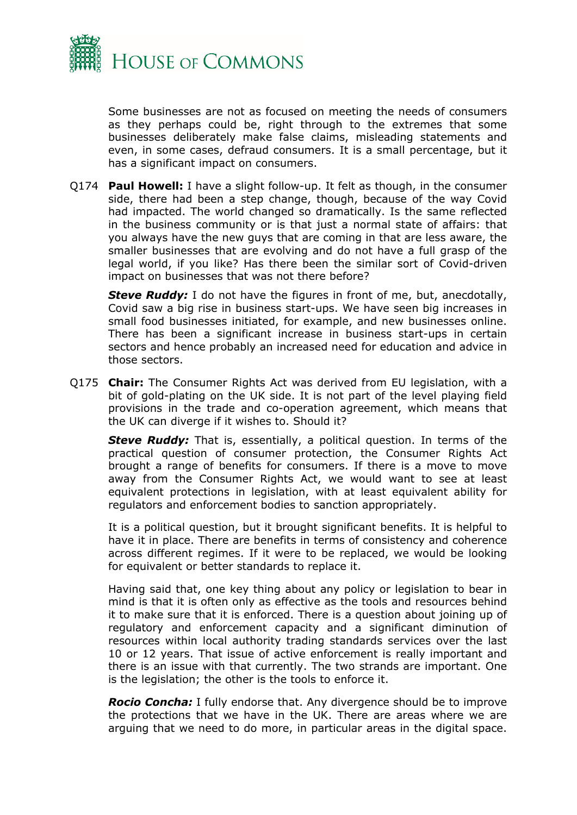

Some businesses are not as focused on meeting the needs of consumers as they perhaps could be, right through to the extremes that some businesses deliberately make false claims, misleading statements and even, in some cases, defraud consumers. It is a small percentage, but it has a significant impact on consumers.

Q174 **Paul Howell:** I have a slight follow-up. It felt as though, in the consumer side, there had been a step change, though, because of the way Covid had impacted. The world changed so dramatically. Is the same reflected in the business community or is that just a normal state of affairs: that you always have the new guys that are coming in that are less aware, the smaller businesses that are evolving and do not have a full grasp of the legal world, if you like? Has there been the similar sort of Covid-driven impact on businesses that was not there before?

*Steve Ruddy:* I do not have the figures in front of me, but, anecdotally, Covid saw a big rise in business start-ups. We have seen big increases in small food businesses initiated, for example, and new businesses online. There has been a significant increase in business start-ups in certain sectors and hence probably an increased need for education and advice in those sectors.

Q175 **Chair:** The Consumer Rights Act was derived from EU legislation, with a bit of gold-plating on the UK side. It is not part of the level playing field provisions in the trade and co-operation agreement, which means that the UK can diverge if it wishes to. Should it?

*Steve Ruddy:* That is, essentially, a political question. In terms of the practical question of consumer protection, the Consumer Rights Act brought a range of benefits for consumers. If there is a move to move away from the Consumer Rights Act, we would want to see at least equivalent protections in legislation, with at least equivalent ability for regulators and enforcement bodies to sanction appropriately.

It is a political question, but it brought significant benefits. It is helpful to have it in place. There are benefits in terms of consistency and coherence across different regimes. If it were to be replaced, we would be looking for equivalent or better standards to replace it.

Having said that, one key thing about any policy or legislation to bear in mind is that it is often only as effective as the tools and resources behind it to make sure that it is enforced. There is a question about joining up of regulatory and enforcement capacity and a significant diminution of resources within local authority trading standards services over the last 10 or 12 years. That issue of active enforcement is really important and there is an issue with that currently. The two strands are important. One is the legislation; the other is the tools to enforce it.

*Rocio Concha:* I fully endorse that. Any divergence should be to improve the protections that we have in the UK. There are areas where we are arguing that we need to do more, in particular areas in the digital space.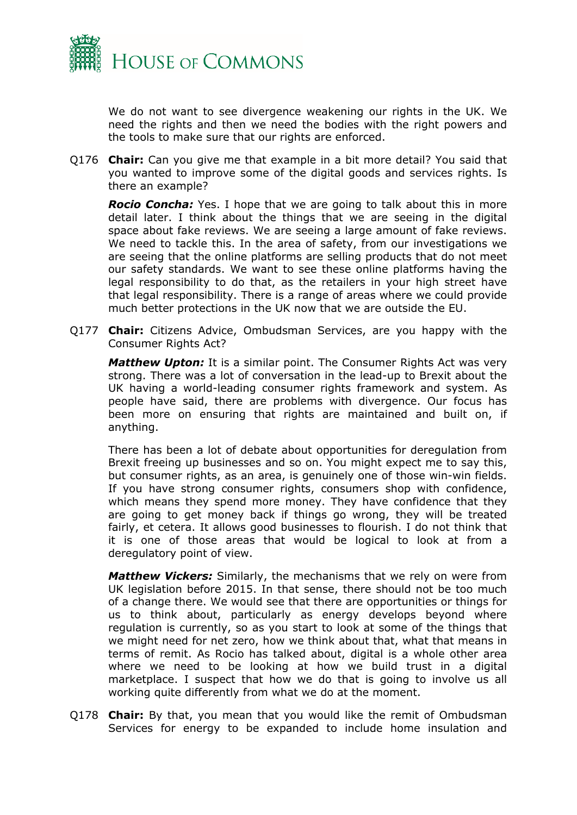

We do not want to see divergence weakening our rights in the UK. We need the rights and then we need the bodies with the right powers and the tools to make sure that our rights are enforced.

Q176 **Chair:** Can you give me that example in a bit more detail? You said that you wanted to improve some of the digital goods and services rights. Is there an example?

*Rocio Concha:* Yes. I hope that we are going to talk about this in more detail later. I think about the things that we are seeing in the digital space about fake reviews. We are seeing a large amount of fake reviews. We need to tackle this. In the area of safety, from our investigations we are seeing that the online platforms are selling products that do not meet our safety standards. We want to see these online platforms having the legal responsibility to do that, as the retailers in your high street have that legal responsibility. There is a range of areas where we could provide much better protections in the UK now that we are outside the EU.

Q177 **Chair:** Citizens Advice, Ombudsman Services, are you happy with the Consumer Rights Act?

*Matthew Upton:* It is a similar point. The Consumer Rights Act was very strong. There was a lot of conversation in the lead-up to Brexit about the UK having a world-leading consumer rights framework and system. As people have said, there are problems with divergence. Our focus has been more on ensuring that rights are maintained and built on, if anything.

There has been a lot of debate about opportunities for deregulation from Brexit freeing up businesses and so on. You might expect me to say this, but consumer rights, as an area, is genuinely one of those win-win fields. If you have strong consumer rights, consumers shop with confidence, which means they spend more money. They have confidence that they are going to get money back if things go wrong, they will be treated fairly, et cetera. It allows good businesses to flourish. I do not think that it is one of those areas that would be logical to look at from a deregulatory point of view.

*Matthew Vickers:* Similarly, the mechanisms that we rely on were from UK legislation before 2015. In that sense, there should not be too much of a change there. We would see that there are opportunities or things for us to think about, particularly as energy develops beyond where regulation is currently, so as you start to look at some of the things that we might need for net zero, how we think about that, what that means in terms of remit. As Rocio has talked about, digital is a whole other area where we need to be looking at how we build trust in a digital marketplace. I suspect that how we do that is going to involve us all working quite differently from what we do at the moment.

Q178 **Chair:** By that, you mean that you would like the remit of Ombudsman Services for energy to be expanded to include home insulation and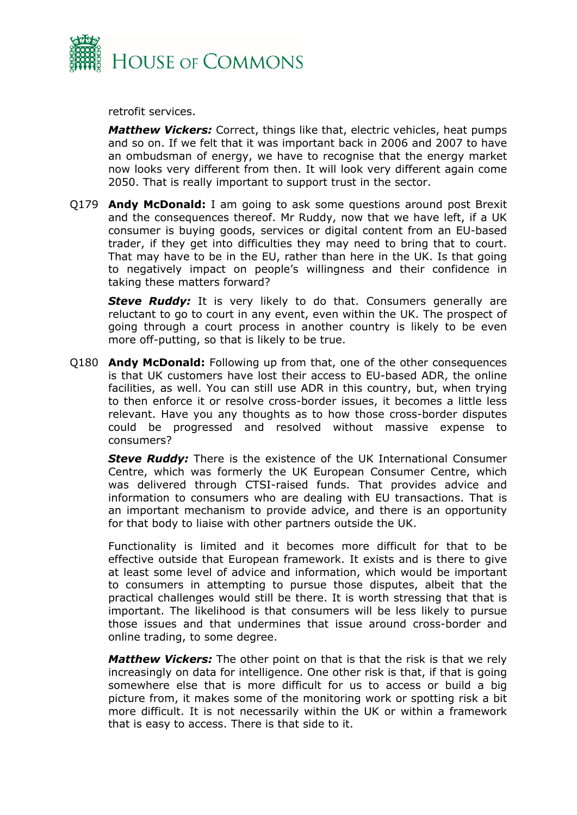

retrofit services.

*Matthew Vickers:* Correct, things like that, electric vehicles, heat pumps and so on. If we felt that it was important back in 2006 and 2007 to have an ombudsman of energy, we have to recognise that the energy market now looks very different from then. It will look very different again come 2050. That is really important to support trust in the sector.

Q179 **Andy McDonald:** I am going to ask some questions around post Brexit and the consequences thereof. Mr Ruddy, now that we have left, if a UK consumer is buying goods, services or digital content from an EU-based trader, if they get into difficulties they may need to bring that to court. That may have to be in the EU, rather than here in the UK. Is that going to negatively impact on people's willingness and their confidence in taking these matters forward?

**Steve Ruddy:** It is very likely to do that. Consumers generally are reluctant to go to court in any event, even within the UK. The prospect of going through a court process in another country is likely to be even more off-putting, so that is likely to be true.

Q180 **Andy McDonald:** Following up from that, one of the other consequences is that UK customers have lost their access to EU-based ADR, the online facilities, as well. You can still use ADR in this country, but, when trying to then enforce it or resolve cross-border issues, it becomes a little less relevant. Have you any thoughts as to how those cross-border disputes could be progressed and resolved without massive expense to consumers?

*Steve Ruddy:* There is the existence of the UK International Consumer Centre, which was formerly the UK European Consumer Centre, which was delivered through CTSI-raised funds. That provides advice and information to consumers who are dealing with EU transactions. That is an important mechanism to provide advice, and there is an opportunity for that body to liaise with other partners outside the UK.

Functionality is limited and it becomes more difficult for that to be effective outside that European framework. It exists and is there to give at least some level of advice and information, which would be important to consumers in attempting to pursue those disputes, albeit that the practical challenges would still be there. It is worth stressing that that is important. The likelihood is that consumers will be less likely to pursue those issues and that undermines that issue around cross-border and online trading, to some degree.

*Matthew Vickers:* The other point on that is that the risk is that we rely increasingly on data for intelligence. One other risk is that, if that is going somewhere else that is more difficult for us to access or build a big picture from, it makes some of the monitoring work or spotting risk a bit more difficult. It is not necessarily within the UK or within a framework that is easy to access. There is that side to it.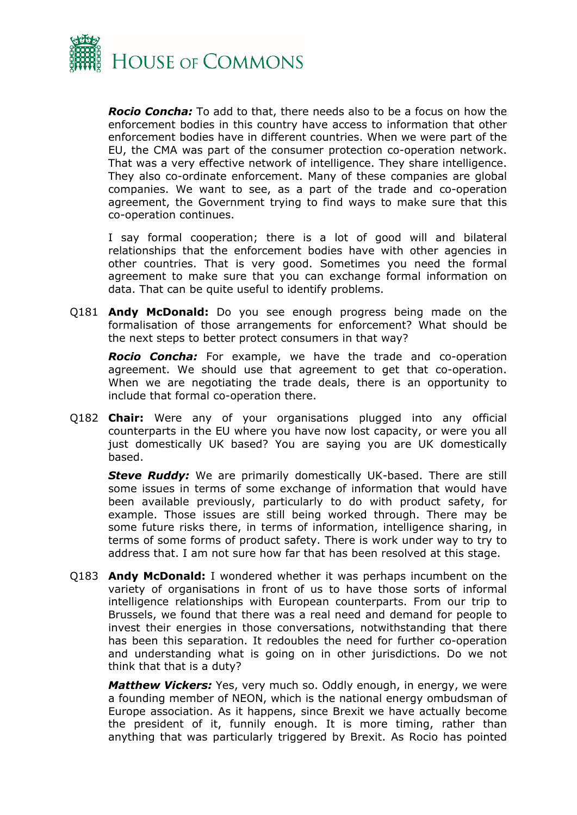

*Rocio Concha:* To add to that, there needs also to be a focus on how the enforcement bodies in this country have access to information that other enforcement bodies have in different countries. When we were part of the EU, the CMA was part of the consumer protection co-operation network. That was a very effective network of intelligence. They share intelligence. They also co-ordinate enforcement. Many of these companies are global companies. We want to see, as a part of the trade and co-operation agreement, the Government trying to find ways to make sure that this co-operation continues.

I say formal cooperation; there is a lot of good will and bilateral relationships that the enforcement bodies have with other agencies in other countries. That is very good. Sometimes you need the formal agreement to make sure that you can exchange formal information on data. That can be quite useful to identify problems.

Q181 **Andy McDonald:** Do you see enough progress being made on the formalisation of those arrangements for enforcement? What should be the next steps to better protect consumers in that way?

*Rocio Concha:* For example, we have the trade and co-operation agreement. We should use that agreement to get that co-operation. When we are negotiating the trade deals, there is an opportunity to include that formal co-operation there.

Q182 **Chair:** Were any of your organisations plugged into any official counterparts in the EU where you have now lost capacity, or were you all just domestically UK based? You are saying you are UK domestically based.

*Steve Ruddy:* We are primarily domestically UK-based. There are still some issues in terms of some exchange of information that would have been available previously, particularly to do with product safety, for example. Those issues are still being worked through. There may be some future risks there, in terms of information, intelligence sharing, in terms of some forms of product safety. There is work under way to try to address that. I am not sure how far that has been resolved at this stage.

Q183 **Andy McDonald:** I wondered whether it was perhaps incumbent on the variety of organisations in front of us to have those sorts of informal intelligence relationships with European counterparts. From our trip to Brussels, we found that there was a real need and demand for people to invest their energies in those conversations, notwithstanding that there has been this separation. It redoubles the need for further co-operation and understanding what is going on in other jurisdictions. Do we not think that that is a duty?

*Matthew Vickers:* Yes, very much so. Oddly enough, in energy, we were a founding member of NEON, which is the national energy ombudsman of Europe association. As it happens, since Brexit we have actually become the president of it, funnily enough. It is more timing, rather than anything that was particularly triggered by Brexit. As Rocio has pointed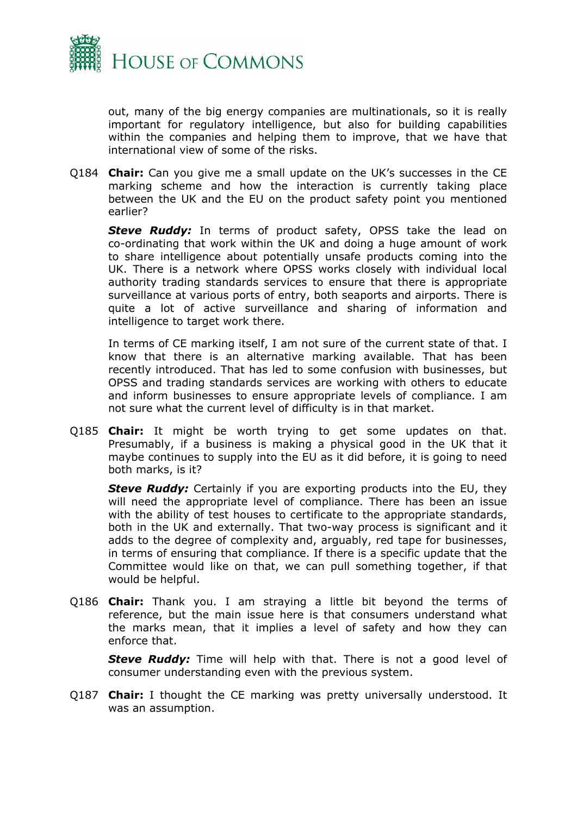

out, many of the big energy companies are multinationals, so it is really important for regulatory intelligence, but also for building capabilities within the companies and helping them to improve, that we have that international view of some of the risks.

Q184 **Chair:** Can you give me a small update on the UK's successes in the CE marking scheme and how the interaction is currently taking place between the UK and the EU on the product safety point you mentioned earlier?

**Steve Ruddy:** In terms of product safety, OPSS take the lead on co-ordinating that work within the UK and doing a huge amount of work to share intelligence about potentially unsafe products coming into the UK. There is a network where OPSS works closely with individual local authority trading standards services to ensure that there is appropriate surveillance at various ports of entry, both seaports and airports. There is quite a lot of active surveillance and sharing of information and intelligence to target work there.

In terms of CE marking itself, I am not sure of the current state of that. I know that there is an alternative marking available. That has been recently introduced. That has led to some confusion with businesses, but OPSS and trading standards services are working with others to educate and inform businesses to ensure appropriate levels of compliance. I am not sure what the current level of difficulty is in that market.

Q185 **Chair:** It might be worth trying to get some updates on that. Presumably, if a business is making a physical good in the UK that it maybe continues to supply into the EU as it did before, it is going to need both marks, is it?

**Steve Ruddy:** Certainly if you are exporting products into the EU, they will need the appropriate level of compliance. There has been an issue with the ability of test houses to certificate to the appropriate standards, both in the UK and externally. That two-way process is significant and it adds to the degree of complexity and, arguably, red tape for businesses, in terms of ensuring that compliance. If there is a specific update that the Committee would like on that, we can pull something together, if that would be helpful.

Q186 **Chair:** Thank you. I am straying a little bit beyond the terms of reference, but the main issue here is that consumers understand what the marks mean, that it implies a level of safety and how they can enforce that.

*Steve Ruddy:* Time will help with that. There is not a good level of consumer understanding even with the previous system.

Q187 **Chair:** I thought the CE marking was pretty universally understood. It was an assumption.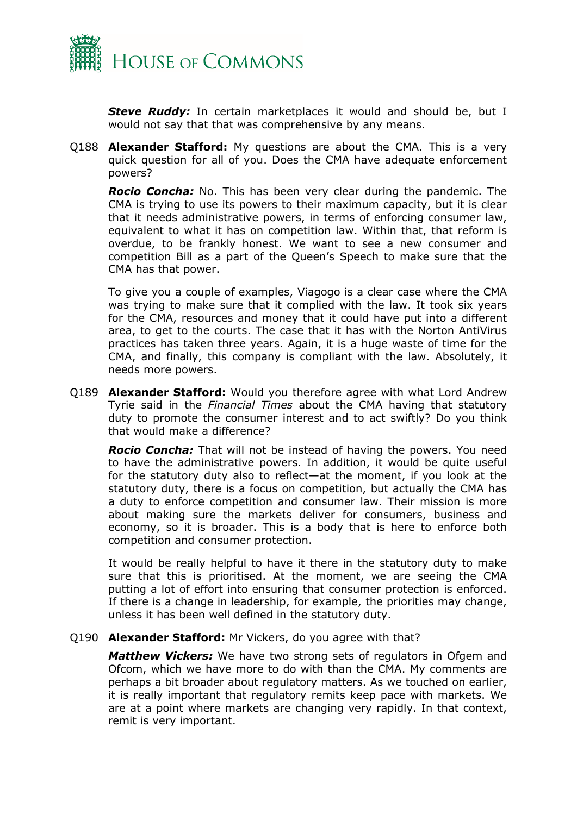

*Steve Ruddy:* In certain marketplaces it would and should be, but I would not say that that was comprehensive by any means.

Q188 **Alexander Stafford:** My questions are about the CMA. This is a very quick question for all of you. Does the CMA have adequate enforcement powers?

*Rocio Concha:* No. This has been very clear during the pandemic. The CMA is trying to use its powers to their maximum capacity, but it is clear that it needs administrative powers, in terms of enforcing consumer law, equivalent to what it has on competition law. Within that, that reform is overdue, to be frankly honest. We want to see a new consumer and competition Bill as a part of the Queen's Speech to make sure that the CMA has that power.

To give you a couple of examples, Viagogo is a clear case where the CMA was trying to make sure that it complied with the law. It took six years for the CMA, resources and money that it could have put into a different area, to get to the courts. The case that it has with the Norton AntiVirus practices has taken three years. Again, it is a huge waste of time for the CMA, and finally, this company is compliant with the law. Absolutely, it needs more powers.

Q189 **Alexander Stafford:** Would you therefore agree with what Lord Andrew Tyrie said in the *Financial Times* about the CMA having that statutory duty to promote the consumer interest and to act swiftly? Do you think that would make a difference?

*Rocio Concha:* That will not be instead of having the powers. You need to have the administrative powers. In addition, it would be quite useful for the statutory duty also to reflect—at the moment, if you look at the statutory duty, there is a focus on competition, but actually the CMA has a duty to enforce competition and consumer law. Their mission is more about making sure the markets deliver for consumers, business and economy, so it is broader. This is a body that is here to enforce both competition and consumer protection.

It would be really helpful to have it there in the statutory duty to make sure that this is prioritised. At the moment, we are seeing the CMA putting a lot of effort into ensuring that consumer protection is enforced. If there is a change in leadership, for example, the priorities may change, unless it has been well defined in the statutory duty.

#### Q190 **Alexander Stafford:** Mr Vickers, do you agree with that?

*Matthew Vickers:* We have two strong sets of regulators in Ofgem and Ofcom, which we have more to do with than the CMA. My comments are perhaps a bit broader about regulatory matters. As we touched on earlier, it is really important that regulatory remits keep pace with markets. We are at a point where markets are changing very rapidly. In that context, remit is very important.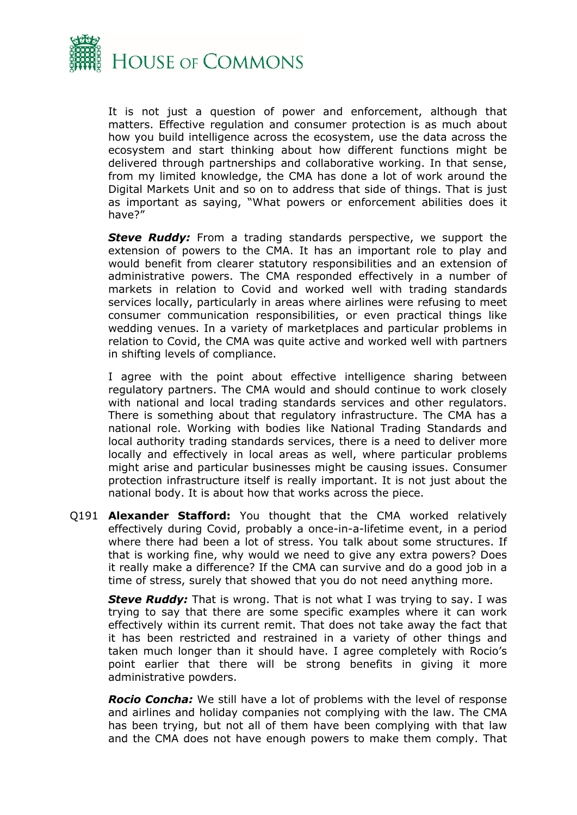

It is not just a question of power and enforcement, although that matters. Effective regulation and consumer protection is as much about how you build intelligence across the ecosystem, use the data across the ecosystem and start thinking about how different functions might be delivered through partnerships and collaborative working. In that sense, from my limited knowledge, the CMA has done a lot of work around the Digital Markets Unit and so on to address that side of things. That is just as important as saying, "What powers or enforcement abilities does it have?"

**Steve Ruddy:** From a trading standards perspective, we support the extension of powers to the CMA. It has an important role to play and would benefit from clearer statutory responsibilities and an extension of administrative powers. The CMA responded effectively in a number of markets in relation to Covid and worked well with trading standards services locally, particularly in areas where airlines were refusing to meet consumer communication responsibilities, or even practical things like wedding venues. In a variety of marketplaces and particular problems in relation to Covid, the CMA was quite active and worked well with partners in shifting levels of compliance.

I agree with the point about effective intelligence sharing between regulatory partners. The CMA would and should continue to work closely with national and local trading standards services and other regulators. There is something about that regulatory infrastructure. The CMA has a national role. Working with bodies like National Trading Standards and local authority trading standards services, there is a need to deliver more locally and effectively in local areas as well, where particular problems might arise and particular businesses might be causing issues. Consumer protection infrastructure itself is really important. It is not just about the national body. It is about how that works across the piece.

Q191 **Alexander Stafford:** You thought that the CMA worked relatively effectively during Covid, probably a once-in-a-lifetime event, in a period where there had been a lot of stress. You talk about some structures. If that is working fine, why would we need to give any extra powers? Does it really make a difference? If the CMA can survive and do a good job in a time of stress, surely that showed that you do not need anything more.

*Steve Ruddy:* That is wrong. That is not what I was trying to say. I was trying to say that there are some specific examples where it can work effectively within its current remit. That does not take away the fact that it has been restricted and restrained in a variety of other things and taken much longer than it should have. I agree completely with Rocio's point earlier that there will be strong benefits in giving it more administrative powders.

*Rocio Concha:* We still have a lot of problems with the level of response and airlines and holiday companies not complying with the law. The CMA has been trying, but not all of them have been complying with that law and the CMA does not have enough powers to make them comply. That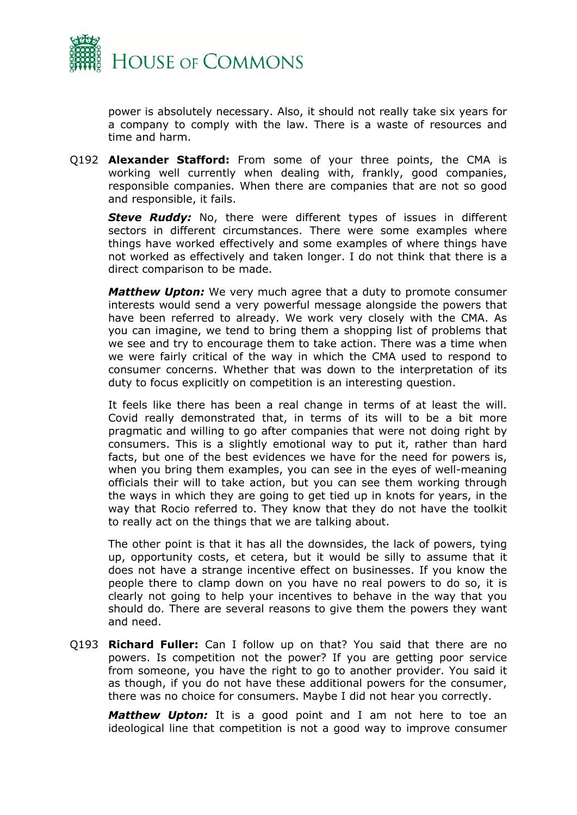

power is absolutely necessary. Also, it should not really take six years for a company to comply with the law. There is a waste of resources and time and harm.

Q192 **Alexander Stafford:** From some of your three points, the CMA is working well currently when dealing with, frankly, good companies, responsible companies. When there are companies that are not so good and responsible, it fails.

*Steve Ruddy:* No, there were different types of issues in different sectors in different circumstances. There were some examples where things have worked effectively and some examples of where things have not worked as effectively and taken longer. I do not think that there is a direct comparison to be made.

*Matthew Upton:* We very much agree that a duty to promote consumer interests would send a very powerful message alongside the powers that have been referred to already. We work very closely with the CMA. As you can imagine, we tend to bring them a shopping list of problems that we see and try to encourage them to take action. There was a time when we were fairly critical of the way in which the CMA used to respond to consumer concerns. Whether that was down to the interpretation of its duty to focus explicitly on competition is an interesting question.

It feels like there has been a real change in terms of at least the will. Covid really demonstrated that, in terms of its will to be a bit more pragmatic and willing to go after companies that were not doing right by consumers. This is a slightly emotional way to put it, rather than hard facts, but one of the best evidences we have for the need for powers is, when you bring them examples, you can see in the eyes of well-meaning officials their will to take action, but you can see them working through the ways in which they are going to get tied up in knots for years, in the way that Rocio referred to. They know that they do not have the toolkit to really act on the things that we are talking about.

The other point is that it has all the downsides, the lack of powers, tying up, opportunity costs, et cetera, but it would be silly to assume that it does not have a strange incentive effect on businesses. If you know the people there to clamp down on you have no real powers to do so, it is clearly not going to help your incentives to behave in the way that you should do. There are several reasons to give them the powers they want and need.

Q193 **Richard Fuller:** Can I follow up on that? You said that there are no powers. Is competition not the power? If you are getting poor service from someone, you have the right to go to another provider. You said it as though, if you do not have these additional powers for the consumer, there was no choice for consumers. Maybe I did not hear you correctly.

*Matthew Upton:* It is a good point and I am not here to toe an ideological line that competition is not a good way to improve consumer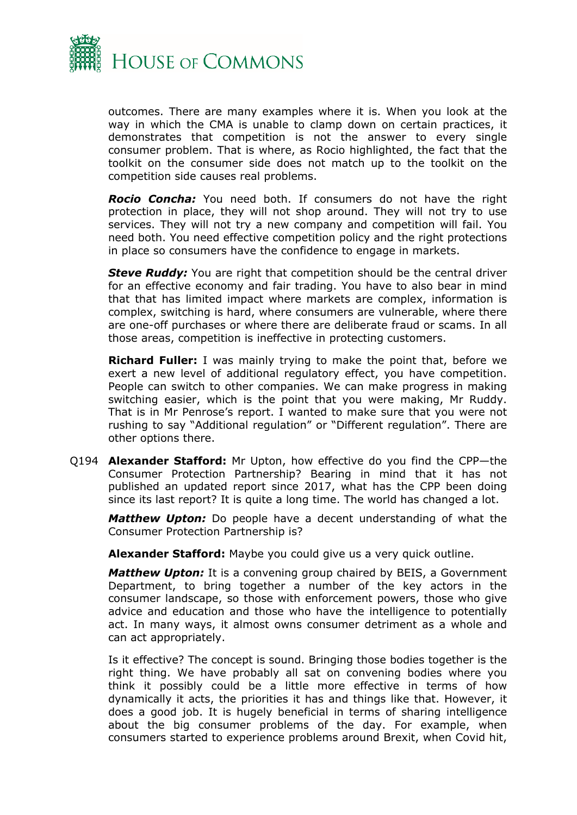

outcomes. There are many examples where it is. When you look at the way in which the CMA is unable to clamp down on certain practices, it demonstrates that competition is not the answer to every single consumer problem. That is where, as Rocio highlighted, the fact that the toolkit on the consumer side does not match up to the toolkit on the competition side causes real problems.

*Rocio Concha:* You need both. If consumers do not have the right protection in place, they will not shop around. They will not try to use services. They will not try a new company and competition will fail. You need both. You need effective competition policy and the right protections in place so consumers have the confidence to engage in markets.

*Steve Ruddy:* You are right that competition should be the central driver for an effective economy and fair trading. You have to also bear in mind that that has limited impact where markets are complex, information is complex, switching is hard, where consumers are vulnerable, where there are one-off purchases or where there are deliberate fraud or scams. In all those areas, competition is ineffective in protecting customers.

**Richard Fuller:** I was mainly trying to make the point that, before we exert a new level of additional regulatory effect, you have competition. People can switch to other companies. We can make progress in making switching easier, which is the point that you were making, Mr Ruddy. That is in Mr Penrose's report. I wanted to make sure that you were not rushing to say "Additional regulation" or "Different regulation". There are other options there.

Q194 **Alexander Stafford:** Mr Upton, how effective do you find the CPP—the Consumer Protection Partnership? Bearing in mind that it has not published an updated report since 2017, what has the CPP been doing since its last report? It is quite a long time. The world has changed a lot.

*Matthew Upton:* Do people have a decent understanding of what the Consumer Protection Partnership is?

**Alexander Stafford:** Maybe you could give us a very quick outline.

*Matthew Upton:* It is a convening group chaired by BEIS, a Government Department, to bring together a number of the key actors in the consumer landscape, so those with enforcement powers, those who give advice and education and those who have the intelligence to potentially act. In many ways, it almost owns consumer detriment as a whole and can act appropriately.

Is it effective? The concept is sound. Bringing those bodies together is the right thing. We have probably all sat on convening bodies where you think it possibly could be a little more effective in terms of how dynamically it acts, the priorities it has and things like that. However, it does a good job. It is hugely beneficial in terms of sharing intelligence about the big consumer problems of the day. For example, when consumers started to experience problems around Brexit, when Covid hit,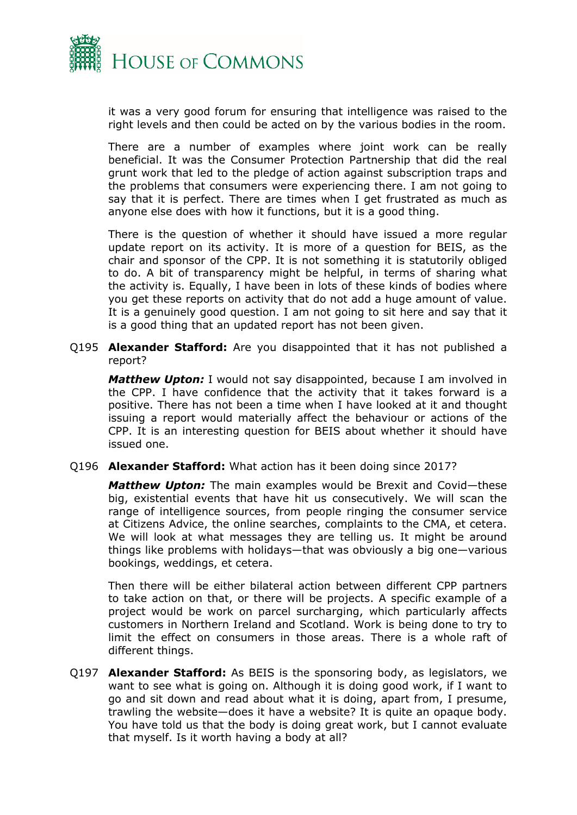

it was a very good forum for ensuring that intelligence was raised to the right levels and then could be acted on by the various bodies in the room.

There are a number of examples where joint work can be really beneficial. It was the Consumer Protection Partnership that did the real grunt work that led to the pledge of action against subscription traps and the problems that consumers were experiencing there. I am not going to say that it is perfect. There are times when I get frustrated as much as anyone else does with how it functions, but it is a good thing.

There is the question of whether it should have issued a more regular update report on its activity. It is more of a question for BEIS, as the chair and sponsor of the CPP. It is not something it is statutorily obliged to do. A bit of transparency might be helpful, in terms of sharing what the activity is. Equally, I have been in lots of these kinds of bodies where you get these reports on activity that do not add a huge amount of value. It is a genuinely good question. I am not going to sit here and say that it is a good thing that an updated report has not been given.

Q195 **Alexander Stafford:** Are you disappointed that it has not published a report?

*Matthew Upton:* I would not say disappointed, because I am involved in the CPP. I have confidence that the activity that it takes forward is a positive. There has not been a time when I have looked at it and thought issuing a report would materially affect the behaviour or actions of the CPP. It is an interesting question for BEIS about whether it should have issued one.

Q196 **Alexander Stafford:** What action has it been doing since 2017?

*Matthew Upton:* The main examples would be Brexit and Covid—these big, existential events that have hit us consecutively. We will scan the range of intelligence sources, from people ringing the consumer service at Citizens Advice, the online searches, complaints to the CMA, et cetera. We will look at what messages they are telling us. It might be around things like problems with holidays—that was obviously a big one—various bookings, weddings, et cetera.

Then there will be either bilateral action between different CPP partners to take action on that, or there will be projects. A specific example of a project would be work on parcel surcharging, which particularly affects customers in Northern Ireland and Scotland. Work is being done to try to limit the effect on consumers in those areas. There is a whole raft of different things.

Q197 **Alexander Stafford:** As BEIS is the sponsoring body, as legislators, we want to see what is going on. Although it is doing good work, if I want to go and sit down and read about what it is doing, apart from, I presume, trawling the website—does it have a website? It is quite an opaque body. You have told us that the body is doing great work, but I cannot evaluate that myself. Is it worth having a body at all?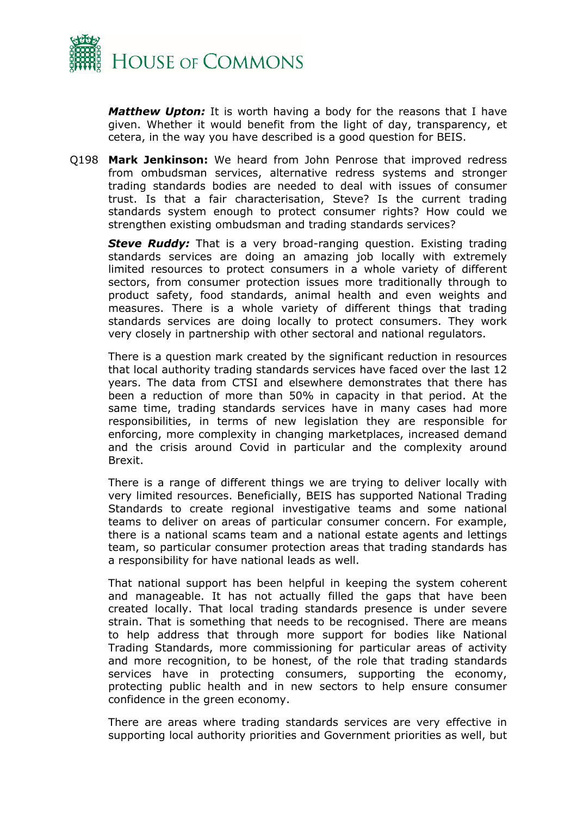

*Matthew Upton:* It is worth having a body for the reasons that I have given. Whether it would benefit from the light of day, transparency, et cetera, in the way you have described is a good question for BEIS.

Q198 **Mark Jenkinson:** We heard from John Penrose that improved redress from ombudsman services, alternative redress systems and stronger trading standards bodies are needed to deal with issues of consumer trust. Is that a fair characterisation, Steve? Is the current trading standards system enough to protect consumer rights? How could we strengthen existing ombudsman and trading standards services?

*Steve Ruddy:* That is a very broad-ranging question. Existing trading standards services are doing an amazing job locally with extremely limited resources to protect consumers in a whole variety of different sectors, from consumer protection issues more traditionally through to product safety, food standards, animal health and even weights and measures. There is a whole variety of different things that trading standards services are doing locally to protect consumers. They work very closely in partnership with other sectoral and national regulators.

There is a question mark created by the significant reduction in resources that local authority trading standards services have faced over the last 12 years. The data from CTSI and elsewhere demonstrates that there has been a reduction of more than 50% in capacity in that period. At the same time, trading standards services have in many cases had more responsibilities, in terms of new legislation they are responsible for enforcing, more complexity in changing marketplaces, increased demand and the crisis around Covid in particular and the complexity around Brexit.

There is a range of different things we are trying to deliver locally with very limited resources. Beneficially, BEIS has supported National Trading Standards to create regional investigative teams and some national teams to deliver on areas of particular consumer concern. For example, there is a national scams team and a national estate agents and lettings team, so particular consumer protection areas that trading standards has a responsibility for have national leads as well.

That national support has been helpful in keeping the system coherent and manageable. It has not actually filled the gaps that have been created locally. That local trading standards presence is under severe strain. That is something that needs to be recognised. There are means to help address that through more support for bodies like National Trading Standards, more commissioning for particular areas of activity and more recognition, to be honest, of the role that trading standards services have in protecting consumers, supporting the economy, protecting public health and in new sectors to help ensure consumer confidence in the green economy.

There are areas where trading standards services are very effective in supporting local authority priorities and Government priorities as well, but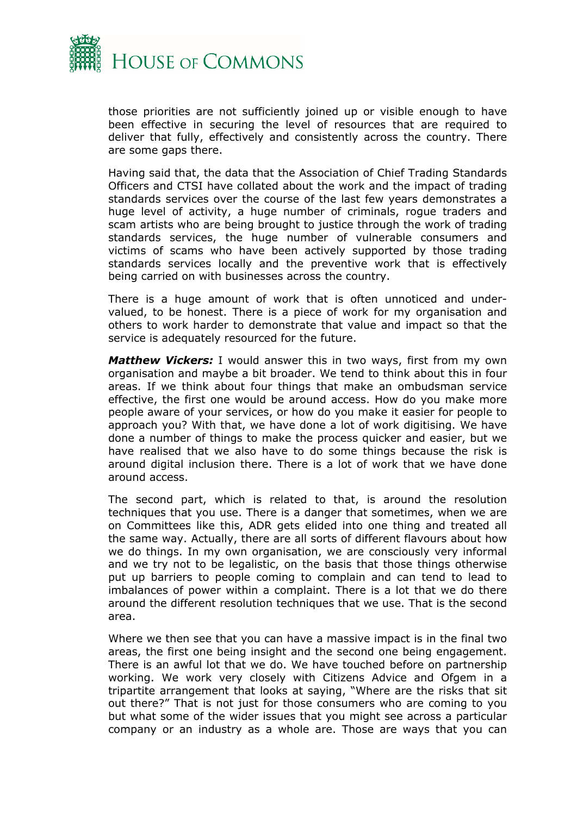

those priorities are not sufficiently joined up or visible enough to have been effective in securing the level of resources that are required to deliver that fully, effectively and consistently across the country. There are some gaps there.

Having said that, the data that the Association of Chief Trading Standards Officers and CTSI have collated about the work and the impact of trading standards services over the course of the last few years demonstrates a huge level of activity, a huge number of criminals, rogue traders and scam artists who are being brought to justice through the work of trading standards services, the huge number of vulnerable consumers and victims of scams who have been actively supported by those trading standards services locally and the preventive work that is effectively being carried on with businesses across the country.

There is a huge amount of work that is often unnoticed and undervalued, to be honest. There is a piece of work for my organisation and others to work harder to demonstrate that value and impact so that the service is adequately resourced for the future.

*Matthew Vickers:* I would answer this in two ways, first from my own organisation and maybe a bit broader. We tend to think about this in four areas. If we think about four things that make an ombudsman service effective, the first one would be around access. How do you make more people aware of your services, or how do you make it easier for people to approach you? With that, we have done a lot of work digitising. We have done a number of things to make the process quicker and easier, but we have realised that we also have to do some things because the risk is around digital inclusion there. There is a lot of work that we have done around access.

The second part, which is related to that, is around the resolution techniques that you use. There is a danger that sometimes, when we are on Committees like this, ADR gets elided into one thing and treated all the same way. Actually, there are all sorts of different flavours about how we do things. In my own organisation, we are consciously very informal and we try not to be legalistic, on the basis that those things otherwise put up barriers to people coming to complain and can tend to lead to imbalances of power within a complaint. There is a lot that we do there around the different resolution techniques that we use. That is the second area.

Where we then see that you can have a massive impact is in the final two areas, the first one being insight and the second one being engagement. There is an awful lot that we do. We have touched before on partnership working. We work very closely with Citizens Advice and Ofgem in a tripartite arrangement that looks at saying, "Where are the risks that sit out there?" That is not just for those consumers who are coming to you but what some of the wider issues that you might see across a particular company or an industry as a whole are. Those are ways that you can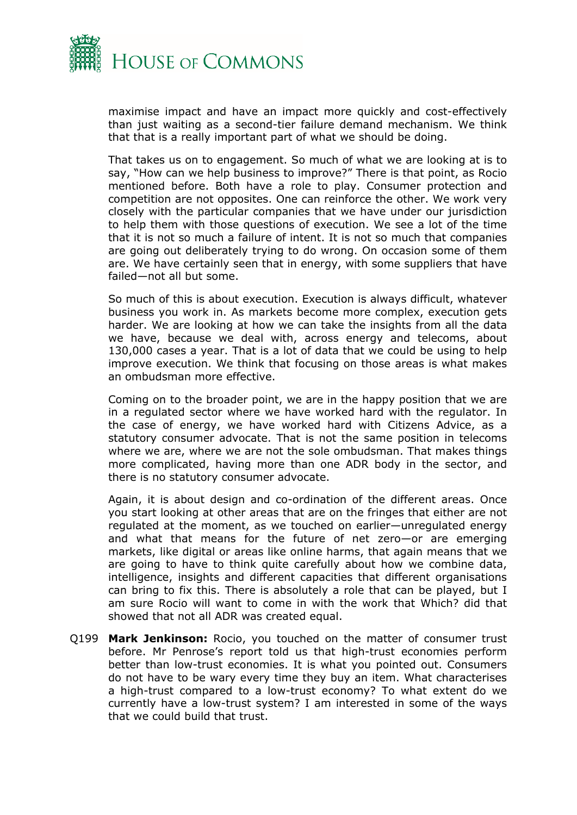

maximise impact and have an impact more quickly and cost-effectively than just waiting as a second-tier failure demand mechanism. We think that that is a really important part of what we should be doing.

That takes us on to engagement. So much of what we are looking at is to say, "How can we help business to improve?" There is that point, as Rocio mentioned before. Both have a role to play. Consumer protection and competition are not opposites. One can reinforce the other. We work very closely with the particular companies that we have under our jurisdiction to help them with those questions of execution. We see a lot of the time that it is not so much a failure of intent. It is not so much that companies are going out deliberately trying to do wrong. On occasion some of them are. We have certainly seen that in energy, with some suppliers that have failed—not all but some.

So much of this is about execution. Execution is always difficult, whatever business you work in. As markets become more complex, execution gets harder. We are looking at how we can take the insights from all the data we have, because we deal with, across energy and telecoms, about 130,000 cases a year. That is a lot of data that we could be using to help improve execution. We think that focusing on those areas is what makes an ombudsman more effective.

Coming on to the broader point, we are in the happy position that we are in a regulated sector where we have worked hard with the regulator. In the case of energy, we have worked hard with Citizens Advice, as a statutory consumer advocate. That is not the same position in telecoms where we are, where we are not the sole ombudsman. That makes things more complicated, having more than one ADR body in the sector, and there is no statutory consumer advocate.

Again, it is about design and co-ordination of the different areas. Once you start looking at other areas that are on the fringes that either are not regulated at the moment, as we touched on earlier—unregulated energy and what that means for the future of net zero—or are emerging markets, like digital or areas like online harms, that again means that we are going to have to think quite carefully about how we combine data, intelligence, insights and different capacities that different organisations can bring to fix this. There is absolutely a role that can be played, but I am sure Rocio will want to come in with the work that Which? did that showed that not all ADR was created equal.

Q199 **Mark Jenkinson:** Rocio, you touched on the matter of consumer trust before. Mr Penrose's report told us that high-trust economies perform better than low-trust economies. It is what you pointed out. Consumers do not have to be wary every time they buy an item. What characterises a high-trust compared to a low-trust economy? To what extent do we currently have a low-trust system? I am interested in some of the ways that we could build that trust.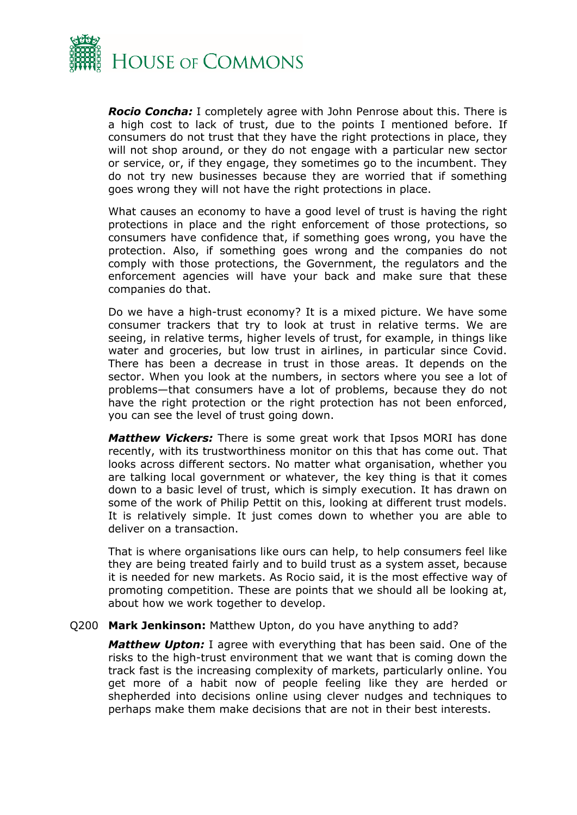

*Rocio Concha:* I completely agree with John Penrose about this. There is a high cost to lack of trust, due to the points I mentioned before. If consumers do not trust that they have the right protections in place, they will not shop around, or they do not engage with a particular new sector or service, or, if they engage, they sometimes go to the incumbent. They do not try new businesses because they are worried that if something goes wrong they will not have the right protections in place.

What causes an economy to have a good level of trust is having the right protections in place and the right enforcement of those protections, so consumers have confidence that, if something goes wrong, you have the protection. Also, if something goes wrong and the companies do not comply with those protections, the Government, the regulators and the enforcement agencies will have your back and make sure that these companies do that.

Do we have a high-trust economy? It is a mixed picture. We have some consumer trackers that try to look at trust in relative terms. We are seeing, in relative terms, higher levels of trust, for example, in things like water and groceries, but low trust in airlines, in particular since Covid. There has been a decrease in trust in those areas. It depends on the sector. When you look at the numbers, in sectors where you see a lot of problems—that consumers have a lot of problems, because they do not have the right protection or the right protection has not been enforced, you can see the level of trust going down.

*Matthew Vickers:* There is some great work that Ipsos MORI has done recently, with its trustworthiness monitor on this that has come out. That looks across different sectors. No matter what organisation, whether you are talking local government or whatever, the key thing is that it comes down to a basic level of trust, which is simply execution. It has drawn on some of the work of Philip Pettit on this, looking at different trust models. It is relatively simple. It just comes down to whether you are able to deliver on a transaction.

That is where organisations like ours can help, to help consumers feel like they are being treated fairly and to build trust as a system asset, because it is needed for new markets. As Rocio said, it is the most effective way of promoting competition. These are points that we should all be looking at, about how we work together to develop.

#### Q200 **Mark Jenkinson:** Matthew Upton, do you have anything to add?

*Matthew Upton:* I agree with everything that has been said. One of the risks to the high-trust environment that we want that is coming down the track fast is the increasing complexity of markets, particularly online. You get more of a habit now of people feeling like they are herded or shepherded into decisions online using clever nudges and techniques to perhaps make them make decisions that are not in their best interests.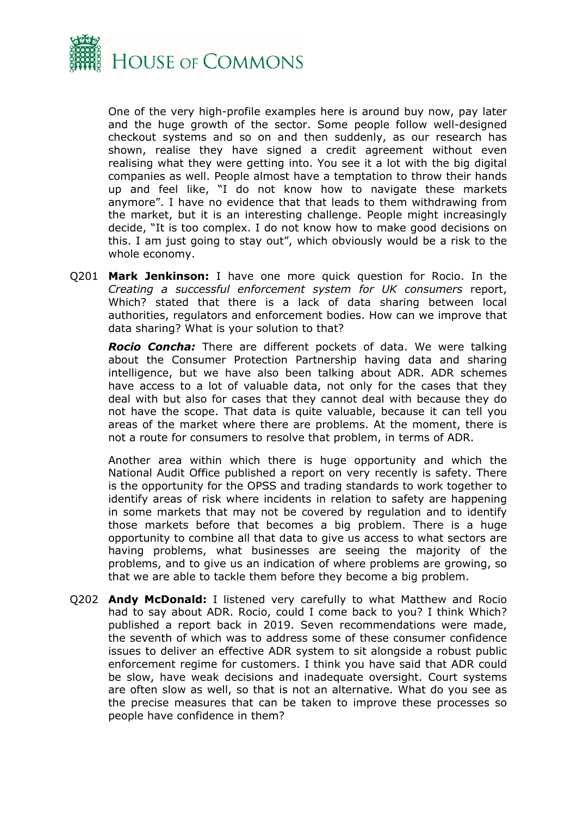

One of the very high-profile examples here is around buy now, pay later and the huge growth of the sector. Some people follow well-designed checkout systems and so on and then suddenly, as our research has shown, realise they have signed a credit agreement without even realising what they were getting into. You see it a lot with the big digital companies as well. People almost have a temptation to throw their hands up and feel like, "I do not know how to navigate these markets anymore". I have no evidence that that leads to them withdrawing from the market, but it is an interesting challenge. People might increasingly decide, "It is too complex. I do not know how to make good decisions on this. I am just going to stay out", which obviously would be a risk to the whole economy.

Q201 **Mark Jenkinson:** I have one more quick question for Rocio. In the *Creating a successful enforcement system for UK consumers* report, Which? stated that there is a lack of data sharing between local authorities, regulators and enforcement bodies. How can we improve that data sharing? What is your solution to that?

*Rocio Concha:* There are different pockets of data. We were talking about the Consumer Protection Partnership having data and sharing intelligence, but we have also been talking about ADR. ADR schemes have access to a lot of valuable data, not only for the cases that they deal with but also for cases that they cannot deal with because they do not have the scope. That data is quite valuable, because it can tell you areas of the market where there are problems. At the moment, there is not a route for consumers to resolve that problem, in terms of ADR.

Another area within which there is huge opportunity and which the National Audit Office published a report on very recently is safety. There is the opportunity for the OPSS and trading standards to work together to identify areas of risk where incidents in relation to safety are happening in some markets that may not be covered by regulation and to identify those markets before that becomes a big problem. There is a huge opportunity to combine all that data to give us access to what sectors are having problems, what businesses are seeing the majority of the problems, and to give us an indication of where problems are growing, so that we are able to tackle them before they become a big problem.

Q202 **Andy McDonald:** I listened very carefully to what Matthew and Rocio had to say about ADR. Rocio, could I come back to you? I think Which? published a report back in 2019. Seven recommendations were made, the seventh of which was to address some of these consumer confidence issues to deliver an effective ADR system to sit alongside a robust public enforcement regime for customers. I think you have said that ADR could be slow, have weak decisions and inadequate oversight. Court systems are often slow as well, so that is not an alternative. What do you see as the precise measures that can be taken to improve these processes so people have confidence in them?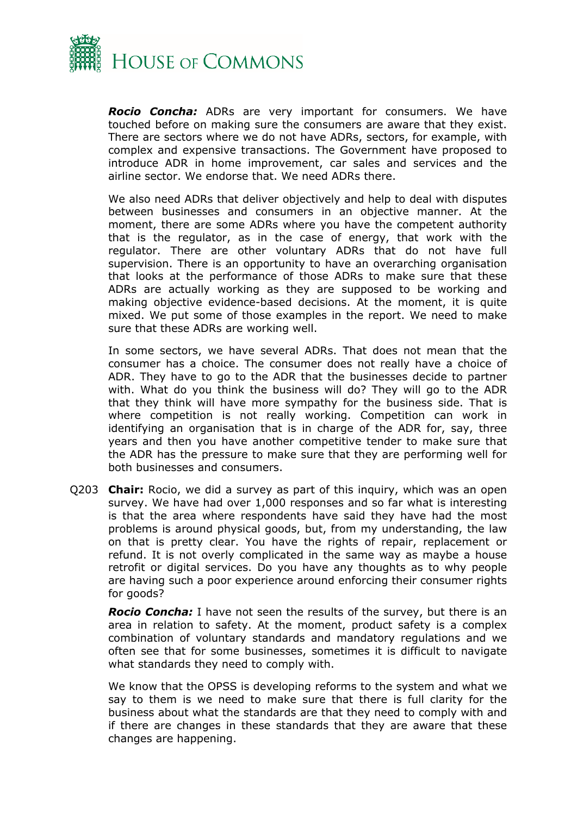

*Rocio Concha:* ADRs are very important for consumers. We have touched before on making sure the consumers are aware that they exist. There are sectors where we do not have ADRs, sectors, for example, with complex and expensive transactions. The Government have proposed to introduce ADR in home improvement, car sales and services and the airline sector. We endorse that. We need ADRs there.

We also need ADRs that deliver objectively and help to deal with disputes between businesses and consumers in an objective manner. At the moment, there are some ADRs where you have the competent authority that is the regulator, as in the case of energy, that work with the regulator. There are other voluntary ADRs that do not have full supervision. There is an opportunity to have an overarching organisation that looks at the performance of those ADRs to make sure that these ADRs are actually working as they are supposed to be working and making objective evidence-based decisions. At the moment, it is quite mixed. We put some of those examples in the report. We need to make sure that these ADRs are working well.

In some sectors, we have several ADRs. That does not mean that the consumer has a choice. The consumer does not really have a choice of ADR. They have to go to the ADR that the businesses decide to partner with. What do you think the business will do? They will go to the ADR that they think will have more sympathy for the business side. That is where competition is not really working. Competition can work in identifying an organisation that is in charge of the ADR for, say, three years and then you have another competitive tender to make sure that the ADR has the pressure to make sure that they are performing well for both businesses and consumers.

Q203 **Chair:** Rocio, we did a survey as part of this inquiry, which was an open survey. We have had over 1,000 responses and so far what is interesting is that the area where respondents have said they have had the most problems is around physical goods, but, from my understanding, the law on that is pretty clear. You have the rights of repair, replacement or refund. It is not overly complicated in the same way as maybe a house retrofit or digital services. Do you have any thoughts as to why people are having such a poor experience around enforcing their consumer rights for goods?

*Rocio Concha:* I have not seen the results of the survey, but there is an area in relation to safety. At the moment, product safety is a complex combination of voluntary standards and mandatory regulations and we often see that for some businesses, sometimes it is difficult to navigate what standards they need to comply with.

We know that the OPSS is developing reforms to the system and what we say to them is we need to make sure that there is full clarity for the business about what the standards are that they need to comply with and if there are changes in these standards that they are aware that these changes are happening.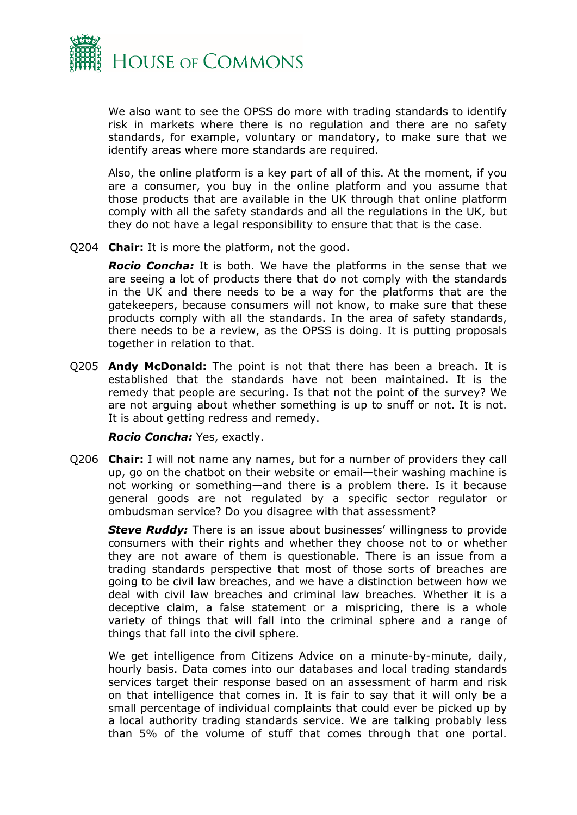

We also want to see the OPSS do more with trading standards to identify risk in markets where there is no regulation and there are no safety standards, for example, voluntary or mandatory, to make sure that we identify areas where more standards are required.

Also, the online platform is a key part of all of this. At the moment, if you are a consumer, you buy in the online platform and you assume that those products that are available in the UK through that online platform comply with all the safety standards and all the regulations in the UK, but they do not have a legal responsibility to ensure that that is the case.

Q204 **Chair:** It is more the platform, not the good.

*Rocio Concha:* It is both. We have the platforms in the sense that we are seeing a lot of products there that do not comply with the standards in the UK and there needs to be a way for the platforms that are the gatekeepers, because consumers will not know, to make sure that these products comply with all the standards. In the area of safety standards, there needs to be a review, as the OPSS is doing. It is putting proposals together in relation to that.

Q205 **Andy McDonald:** The point is not that there has been a breach. It is established that the standards have not been maintained. It is the remedy that people are securing. Is that not the point of the survey? We are not arguing about whether something is up to snuff or not. It is not. It is about getting redress and remedy.

#### *Rocio Concha:* Yes, exactly.

Q206 **Chair:** I will not name any names, but for a number of providers they call up, go on the chatbot on their website or email—their washing machine is not working or something—and there is a problem there. Is it because general goods are not regulated by a specific sector regulator or ombudsman service? Do you disagree with that assessment?

*Steve Ruddy:* There is an issue about businesses' willingness to provide consumers with their rights and whether they choose not to or whether they are not aware of them is questionable. There is an issue from a trading standards perspective that most of those sorts of breaches are going to be civil law breaches, and we have a distinction between how we deal with civil law breaches and criminal law breaches. Whether it is a deceptive claim, a false statement or a mispricing, there is a whole variety of things that will fall into the criminal sphere and a range of things that fall into the civil sphere.

We get intelligence from Citizens Advice on a minute-by-minute, daily, hourly basis. Data comes into our databases and local trading standards services target their response based on an assessment of harm and risk on that intelligence that comes in. It is fair to say that it will only be a small percentage of individual complaints that could ever be picked up by a local authority trading standards service. We are talking probably less than 5% of the volume of stuff that comes through that one portal.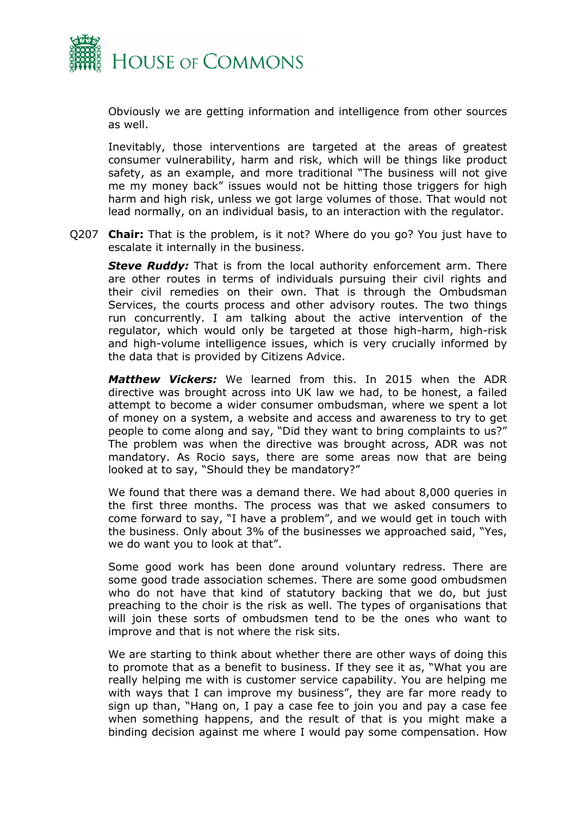

Obviously we are getting information and intelligence from other sources as well.

Inevitably, those interventions are targeted at the areas of greatest consumer vulnerability, harm and risk, which will be things like product safety, as an example, and more traditional "The business will not give me my money back" issues would not be hitting those triggers for high harm and high risk, unless we got large volumes of those. That would not lead normally, on an individual basis, to an interaction with the regulator.

Q207 **Chair:** That is the problem, is it not? Where do you go? You just have to escalate it internally in the business.

*Steve Ruddy:* That is from the local authority enforcement arm. There are other routes in terms of individuals pursuing their civil rights and their civil remedies on their own. That is through the Ombudsman Services, the courts process and other advisory routes. The two things run concurrently. I am talking about the active intervention of the regulator, which would only be targeted at those high-harm, high-risk and high-volume intelligence issues, which is very crucially informed by the data that is provided by Citizens Advice.

*Matthew Vickers:* We learned from this. In 2015 when the ADR directive was brought across into UK law we had, to be honest, a failed attempt to become a wider consumer ombudsman, where we spent a lot of money on a system, a website and access and awareness to try to get people to come along and say, "Did they want to bring complaints to us?" The problem was when the directive was brought across, ADR was not mandatory. As Rocio says, there are some areas now that are being looked at to say, "Should they be mandatory?"

We found that there was a demand there. We had about 8,000 queries in the first three months. The process was that we asked consumers to come forward to say, "I have a problem", and we would get in touch with the business. Only about 3% of the businesses we approached said, "Yes, we do want you to look at that".

Some good work has been done around voluntary redress. There are some good trade association schemes. There are some good ombudsmen who do not have that kind of statutory backing that we do, but just preaching to the choir is the risk as well. The types of organisations that will join these sorts of ombudsmen tend to be the ones who want to improve and that is not where the risk sits.

We are starting to think about whether there are other ways of doing this to promote that as a benefit to business. If they see it as, "What you are really helping me with is customer service capability. You are helping me with ways that I can improve my business", they are far more ready to sign up than, "Hang on, I pay a case fee to join you and pay a case fee when something happens, and the result of that is you might make a binding decision against me where I would pay some compensation. How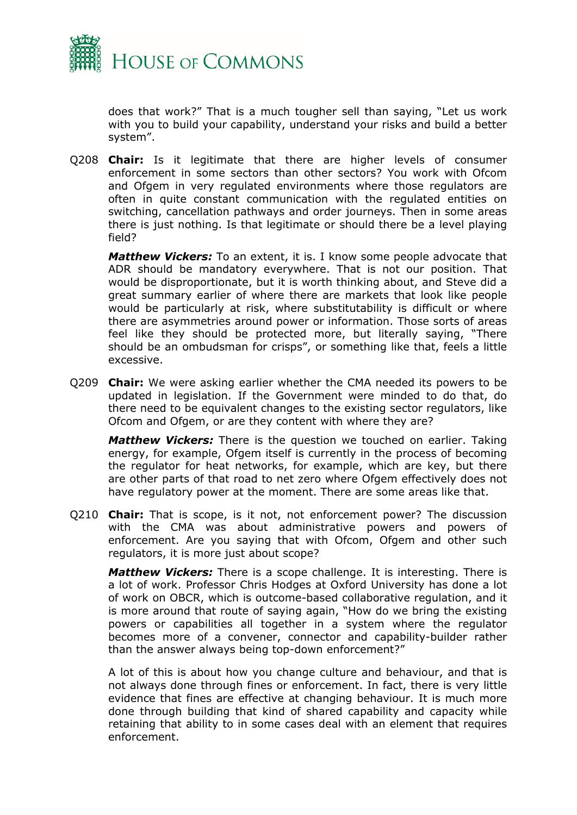

does that work?" That is a much tougher sell than saying, "Let us work with you to build your capability, understand your risks and build a better system".

Q208 **Chair:** Is it legitimate that there are higher levels of consumer enforcement in some sectors than other sectors? You work with Ofcom and Ofgem in very regulated environments where those regulators are often in quite constant communication with the regulated entities on switching, cancellation pathways and order journeys. Then in some areas there is just nothing. Is that legitimate or should there be a level playing field?

*Matthew Vickers:* To an extent, it is. I know some people advocate that ADR should be mandatory everywhere. That is not our position. That would be disproportionate, but it is worth thinking about, and Steve did a great summary earlier of where there are markets that look like people would be particularly at risk, where substitutability is difficult or where there are asymmetries around power or information. Those sorts of areas feel like they should be protected more, but literally saying, "There should be an ombudsman for crisps", or something like that, feels a little excessive.

Q209 **Chair:** We were asking earlier whether the CMA needed its powers to be updated in legislation. If the Government were minded to do that, do there need to be equivalent changes to the existing sector regulators, like Ofcom and Ofgem, or are they content with where they are?

*Matthew Vickers:* There is the question we touched on earlier. Taking energy, for example, Ofgem itself is currently in the process of becoming the regulator for heat networks, for example, which are key, but there are other parts of that road to net zero where Ofgem effectively does not have regulatory power at the moment. There are some areas like that.

Q210 **Chair:** That is scope, is it not, not enforcement power? The discussion with the CMA was about administrative powers and powers of enforcement. Are you saying that with Ofcom, Ofgem and other such regulators, it is more just about scope?

*Matthew Vickers:* There is a scope challenge. It is interesting. There is a lot of work. Professor Chris Hodges at Oxford University has done a lot of work on OBCR, which is outcome-based collaborative regulation, and it is more around that route of saying again, "How do we bring the existing powers or capabilities all together in a system where the regulator becomes more of a convener, connector and capability-builder rather than the answer always being top-down enforcement?"

A lot of this is about how you change culture and behaviour, and that is not always done through fines or enforcement. In fact, there is very little evidence that fines are effective at changing behaviour. It is much more done through building that kind of shared capability and capacity while retaining that ability to in some cases deal with an element that requires enforcement.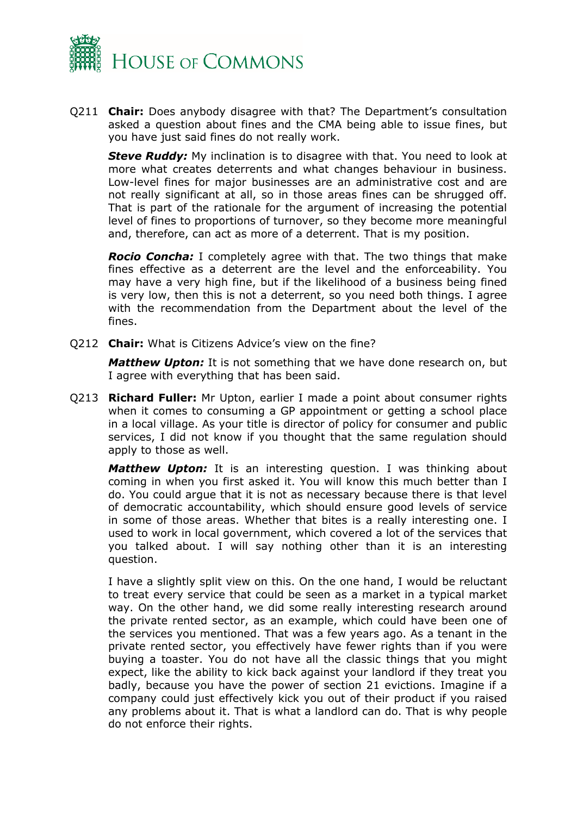

Q211 **Chair:** Does anybody disagree with that? The Department's consultation asked a question about fines and the CMA being able to issue fines, but you have just said fines do not really work.

**Steve Ruddy:** My inclination is to disagree with that. You need to look at more what creates deterrents and what changes behaviour in business. Low-level fines for major businesses are an administrative cost and are not really significant at all, so in those areas fines can be shrugged off. That is part of the rationale for the argument of increasing the potential level of fines to proportions of turnover, so they become more meaningful and, therefore, can act as more of a deterrent. That is my position.

*Rocio Concha:* I completely agree with that. The two things that make fines effective as a deterrent are the level and the enforceability. You may have a very high fine, but if the likelihood of a business being fined is very low, then this is not a deterrent, so you need both things. I agree with the recommendation from the Department about the level of the fines.

Q212 **Chair:** What is Citizens Advice's view on the fine?

*Matthew Upton:* It is not something that we have done research on, but I agree with everything that has been said.

Q213 **Richard Fuller:** Mr Upton, earlier I made a point about consumer rights when it comes to consuming a GP appointment or getting a school place in a local village. As your title is director of policy for consumer and public services, I did not know if you thought that the same regulation should apply to those as well.

*Matthew Upton:* It is an interesting question. I was thinking about coming in when you first asked it. You will know this much better than I do. You could argue that it is not as necessary because there is that level of democratic accountability, which should ensure good levels of service in some of those areas. Whether that bites is a really interesting one. I used to work in local government, which covered a lot of the services that you talked about. I will say nothing other than it is an interesting question.

I have a slightly split view on this. On the one hand, I would be reluctant to treat every service that could be seen as a market in a typical market way. On the other hand, we did some really interesting research around the private rented sector, as an example, which could have been one of the services you mentioned. That was a few years ago. As a tenant in the private rented sector, you effectively have fewer rights than if you were buying a toaster. You do not have all the classic things that you might expect, like the ability to kick back against your landlord if they treat you badly, because you have the power of section 21 evictions. Imagine if a company could just effectively kick you out of their product if you raised any problems about it. That is what a landlord can do. That is why people do not enforce their rights.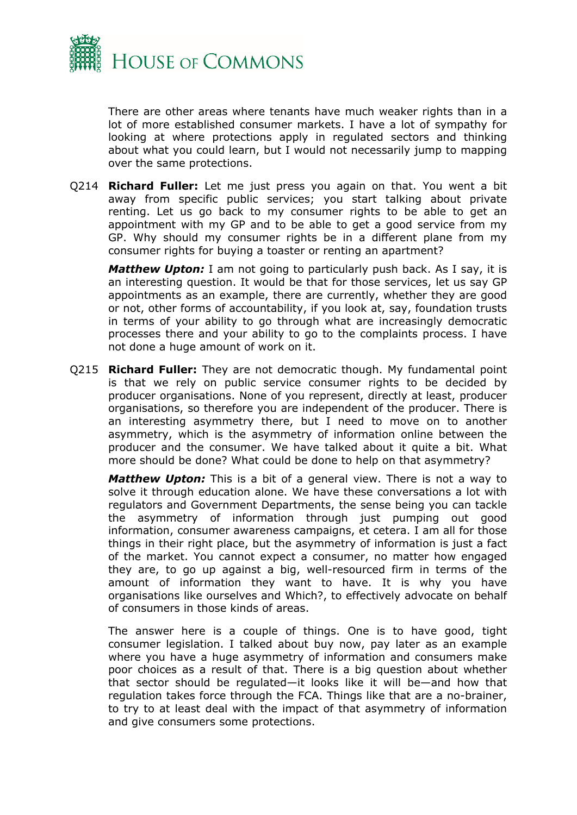

There are other areas where tenants have much weaker rights than in a lot of more established consumer markets. I have a lot of sympathy for looking at where protections apply in regulated sectors and thinking about what you could learn, but I would not necessarily jump to mapping over the same protections.

Q214 **Richard Fuller:** Let me just press you again on that. You went a bit away from specific public services; you start talking about private renting. Let us go back to my consumer rights to be able to get an appointment with my GP and to be able to get a good service from my GP. Why should my consumer rights be in a different plane from my consumer rights for buying a toaster or renting an apartment?

*Matthew Upton:* I am not going to particularly push back. As I say, it is an interesting question. It would be that for those services, let us say GP appointments as an example, there are currently, whether they are good or not, other forms of accountability, if you look at, say, foundation trusts in terms of your ability to go through what are increasingly democratic processes there and your ability to go to the complaints process. I have not done a huge amount of work on it.

Q215 **Richard Fuller:** They are not democratic though. My fundamental point is that we rely on public service consumer rights to be decided by producer organisations. None of you represent, directly at least, producer organisations, so therefore you are independent of the producer. There is an interesting asymmetry there, but I need to move on to another asymmetry, which is the asymmetry of information online between the producer and the consumer. We have talked about it quite a bit. What more should be done? What could be done to help on that asymmetry?

*Matthew Upton:* This is a bit of a general view. There is not a way to solve it through education alone. We have these conversations a lot with regulators and Government Departments, the sense being you can tackle the asymmetry of information through just pumping out good information, consumer awareness campaigns, et cetera. I am all for those things in their right place, but the asymmetry of information is just a fact of the market. You cannot expect a consumer, no matter how engaged they are, to go up against a big, well-resourced firm in terms of the amount of information they want to have. It is why you have organisations like ourselves and Which?, to effectively advocate on behalf of consumers in those kinds of areas.

The answer here is a couple of things. One is to have good, tight consumer legislation. I talked about buy now, pay later as an example where you have a huge asymmetry of information and consumers make poor choices as a result of that. There is a big question about whether that sector should be regulated—it looks like it will be—and how that regulation takes force through the FCA. Things like that are a no-brainer, to try to at least deal with the impact of that asymmetry of information and give consumers some protections.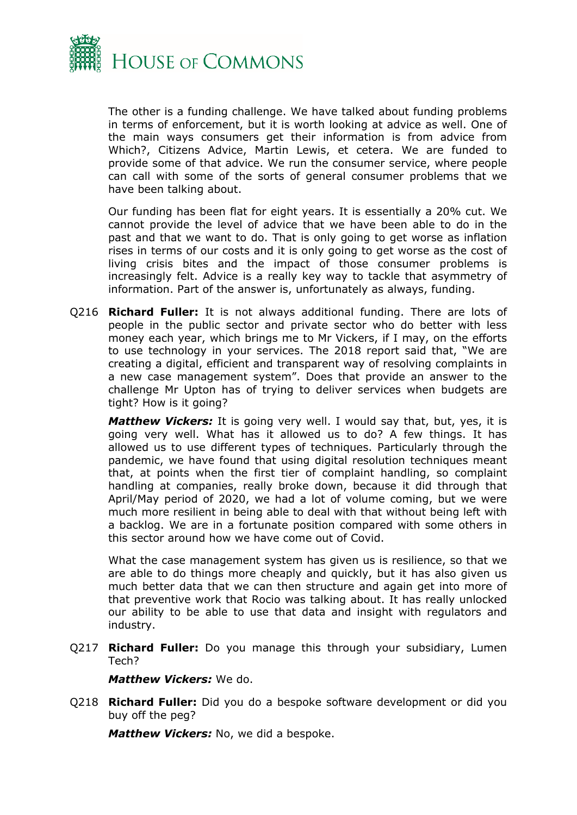

The other is a funding challenge. We have talked about funding problems in terms of enforcement, but it is worth looking at advice as well. One of the main ways consumers get their information is from advice from Which?, Citizens Advice, Martin Lewis, et cetera. We are funded to provide some of that advice. We run the consumer service, where people can call with some of the sorts of general consumer problems that we have been talking about.

Our funding has been flat for eight years. It is essentially a 20% cut. We cannot provide the level of advice that we have been able to do in the past and that we want to do. That is only going to get worse as inflation rises in terms of our costs and it is only going to get worse as the cost of living crisis bites and the impact of those consumer problems is increasingly felt. Advice is a really key way to tackle that asymmetry of information. Part of the answer is, unfortunately as always, funding.

Q216 **Richard Fuller:** It is not always additional funding. There are lots of people in the public sector and private sector who do better with less money each year, which brings me to Mr Vickers, if I may, on the efforts to use technology in your services. The 2018 report said that, "We are creating a digital, efficient and transparent way of resolving complaints in a new case management system". Does that provide an answer to the challenge Mr Upton has of trying to deliver services when budgets are tight? How is it going?

*Matthew Vickers:* It is going very well. I would say that, but, yes, it is going very well. What has it allowed us to do? A few things. It has allowed us to use different types of techniques. Particularly through the pandemic, we have found that using digital resolution techniques meant that, at points when the first tier of complaint handling, so complaint handling at companies, really broke down, because it did through that April/May period of 2020, we had a lot of volume coming, but we were much more resilient in being able to deal with that without being left with a backlog. We are in a fortunate position compared with some others in this sector around how we have come out of Covid.

What the case management system has given us is resilience, so that we are able to do things more cheaply and quickly, but it has also given us much better data that we can then structure and again get into more of that preventive work that Rocio was talking about. It has really unlocked our ability to be able to use that data and insight with regulators and industry.

Q217 **Richard Fuller:** Do you manage this through your subsidiary, Lumen Tech?

#### *Matthew Vickers:* We do.

Q218 **Richard Fuller:** Did you do a bespoke software development or did you buy off the peg?

*Matthew Vickers:* No, we did a bespoke.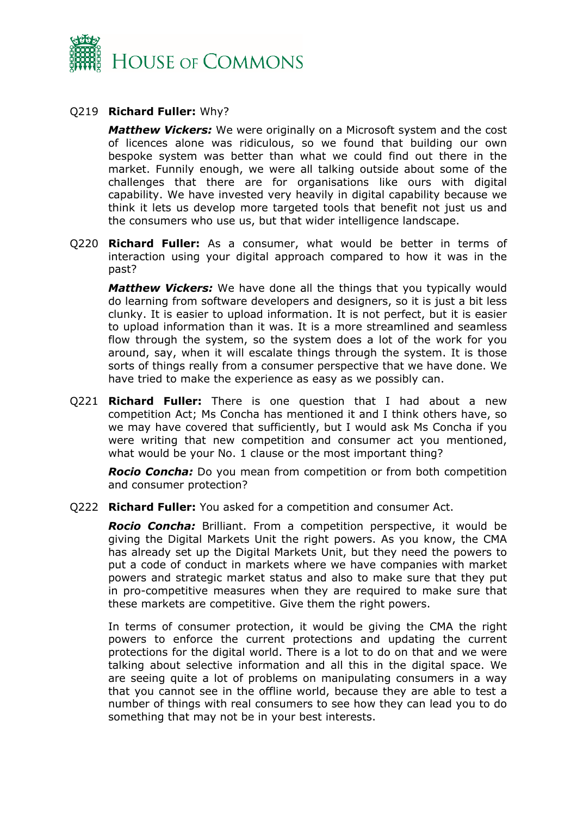

### Q219 **Richard Fuller:** Why?

*Matthew Vickers:* We were originally on a Microsoft system and the cost of licences alone was ridiculous, so we found that building our own bespoke system was better than what we could find out there in the market. Funnily enough, we were all talking outside about some of the challenges that there are for organisations like ours with digital capability. We have invested very heavily in digital capability because we think it lets us develop more targeted tools that benefit not just us and the consumers who use us, but that wider intelligence landscape.

Q220 **Richard Fuller:** As a consumer, what would be better in terms of interaction using your digital approach compared to how it was in the past?

*Matthew Vickers:* We have done all the things that you typically would do learning from software developers and designers, so it is just a bit less clunky. It is easier to upload information. It is not perfect, but it is easier to upload information than it was. It is a more streamlined and seamless flow through the system, so the system does a lot of the work for you around, say, when it will escalate things through the system. It is those sorts of things really from a consumer perspective that we have done. We have tried to make the experience as easy as we possibly can.

Q221 **Richard Fuller:** There is one question that I had about a new competition Act; Ms Concha has mentioned it and I think others have, so we may have covered that sufficiently, but I would ask Ms Concha if you were writing that new competition and consumer act you mentioned, what would be your No. 1 clause or the most important thing?

*Rocio Concha:* Do you mean from competition or from both competition and consumer protection?

Q222 **Richard Fuller:** You asked for a competition and consumer Act.

*Rocio Concha:* Brilliant. From a competition perspective, it would be giving the Digital Markets Unit the right powers. As you know, the CMA has already set up the Digital Markets Unit, but they need the powers to put a code of conduct in markets where we have companies with market powers and strategic market status and also to make sure that they put in pro-competitive measures when they are required to make sure that these markets are competitive. Give them the right powers.

In terms of consumer protection, it would be giving the CMA the right powers to enforce the current protections and updating the current protections for the digital world. There is a lot to do on that and we were talking about selective information and all this in the digital space. We are seeing quite a lot of problems on manipulating consumers in a way that you cannot see in the offline world, because they are able to test a number of things with real consumers to see how they can lead you to do something that may not be in your best interests.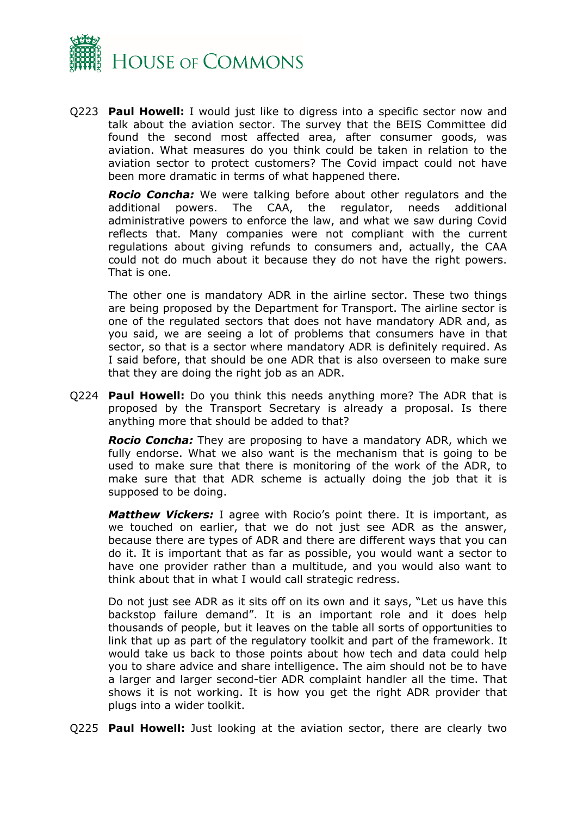

Q223 **Paul Howell:** I would just like to digress into a specific sector now and talk about the aviation sector. The survey that the BEIS Committee did found the second most affected area, after consumer goods, was aviation. What measures do you think could be taken in relation to the aviation sector to protect customers? The Covid impact could not have been more dramatic in terms of what happened there.

*Rocio Concha:* We were talking before about other regulators and the additional powers. The CAA, the regulator, needs additional administrative powers to enforce the law, and what we saw during Covid reflects that. Many companies were not compliant with the current regulations about giving refunds to consumers and, actually, the CAA could not do much about it because they do not have the right powers. That is one.

The other one is mandatory ADR in the airline sector. These two things are being proposed by the Department for Transport. The airline sector is one of the regulated sectors that does not have mandatory ADR and, as you said, we are seeing a lot of problems that consumers have in that sector, so that is a sector where mandatory ADR is definitely required. As I said before, that should be one ADR that is also overseen to make sure that they are doing the right job as an ADR.

Q224 **Paul Howell:** Do you think this needs anything more? The ADR that is proposed by the Transport Secretary is already a proposal. Is there anything more that should be added to that?

*Rocio Concha:* They are proposing to have a mandatory ADR, which we fully endorse. What we also want is the mechanism that is going to be used to make sure that there is monitoring of the work of the ADR, to make sure that that ADR scheme is actually doing the job that it is supposed to be doing.

*Matthew Vickers:* I agree with Rocio's point there. It is important, as we touched on earlier, that we do not just see ADR as the answer, because there are types of ADR and there are different ways that you can do it. It is important that as far as possible, you would want a sector to have one provider rather than a multitude, and you would also want to think about that in what I would call strategic redress.

Do not just see ADR as it sits off on its own and it says, "Let us have this backstop failure demand". It is an important role and it does help thousands of people, but it leaves on the table all sorts of opportunities to link that up as part of the regulatory toolkit and part of the framework. It would take us back to those points about how tech and data could help you to share advice and share intelligence. The aim should not be to have a larger and larger second-tier ADR complaint handler all the time. That shows it is not working. It is how you get the right ADR provider that plugs into a wider toolkit.

Q225 **Paul Howell:** Just looking at the aviation sector, there are clearly two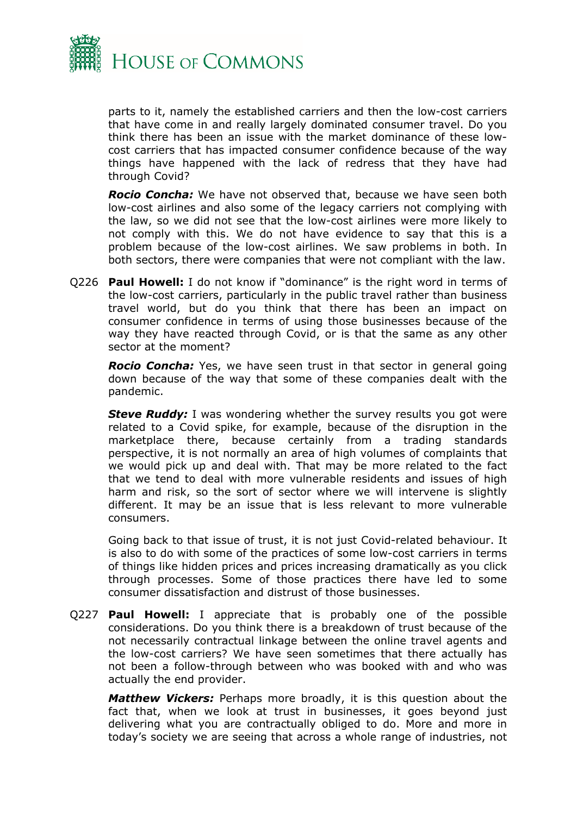

parts to it, namely the established carriers and then the low-cost carriers that have come in and really largely dominated consumer travel. Do you think there has been an issue with the market dominance of these lowcost carriers that has impacted consumer confidence because of the way things have happened with the lack of redress that they have had through Covid?

*Rocio Concha:* We have not observed that, because we have seen both low-cost airlines and also some of the legacy carriers not complying with the law, so we did not see that the low-cost airlines were more likely to not comply with this. We do not have evidence to say that this is a problem because of the low-cost airlines. We saw problems in both. In both sectors, there were companies that were not compliant with the law.

Q226 **Paul Howell:** I do not know if "dominance" is the right word in terms of the low-cost carriers, particularly in the public travel rather than business travel world, but do you think that there has been an impact on consumer confidence in terms of using those businesses because of the way they have reacted through Covid, or is that the same as any other sector at the moment?

*Rocio Concha:* Yes, we have seen trust in that sector in general going down because of the way that some of these companies dealt with the pandemic.

**Steve Ruddy:** I was wondering whether the survey results you got were related to a Covid spike, for example, because of the disruption in the marketplace there, because certainly from a trading standards perspective, it is not normally an area of high volumes of complaints that we would pick up and deal with. That may be more related to the fact that we tend to deal with more vulnerable residents and issues of high harm and risk, so the sort of sector where we will intervene is slightly different. It may be an issue that is less relevant to more vulnerable consumers.

Going back to that issue of trust, it is not just Covid-related behaviour. It is also to do with some of the practices of some low-cost carriers in terms of things like hidden prices and prices increasing dramatically as you click through processes. Some of those practices there have led to some consumer dissatisfaction and distrust of those businesses.

Q227 **Paul Howell:** I appreciate that is probably one of the possible considerations. Do you think there is a breakdown of trust because of the not necessarily contractual linkage between the online travel agents and the low-cost carriers? We have seen sometimes that there actually has not been a follow-through between who was booked with and who was actually the end provider.

*Matthew Vickers:* Perhaps more broadly, it is this question about the fact that, when we look at trust in businesses, it goes beyond just delivering what you are contractually obliged to do. More and more in today's society we are seeing that across a whole range of industries, not